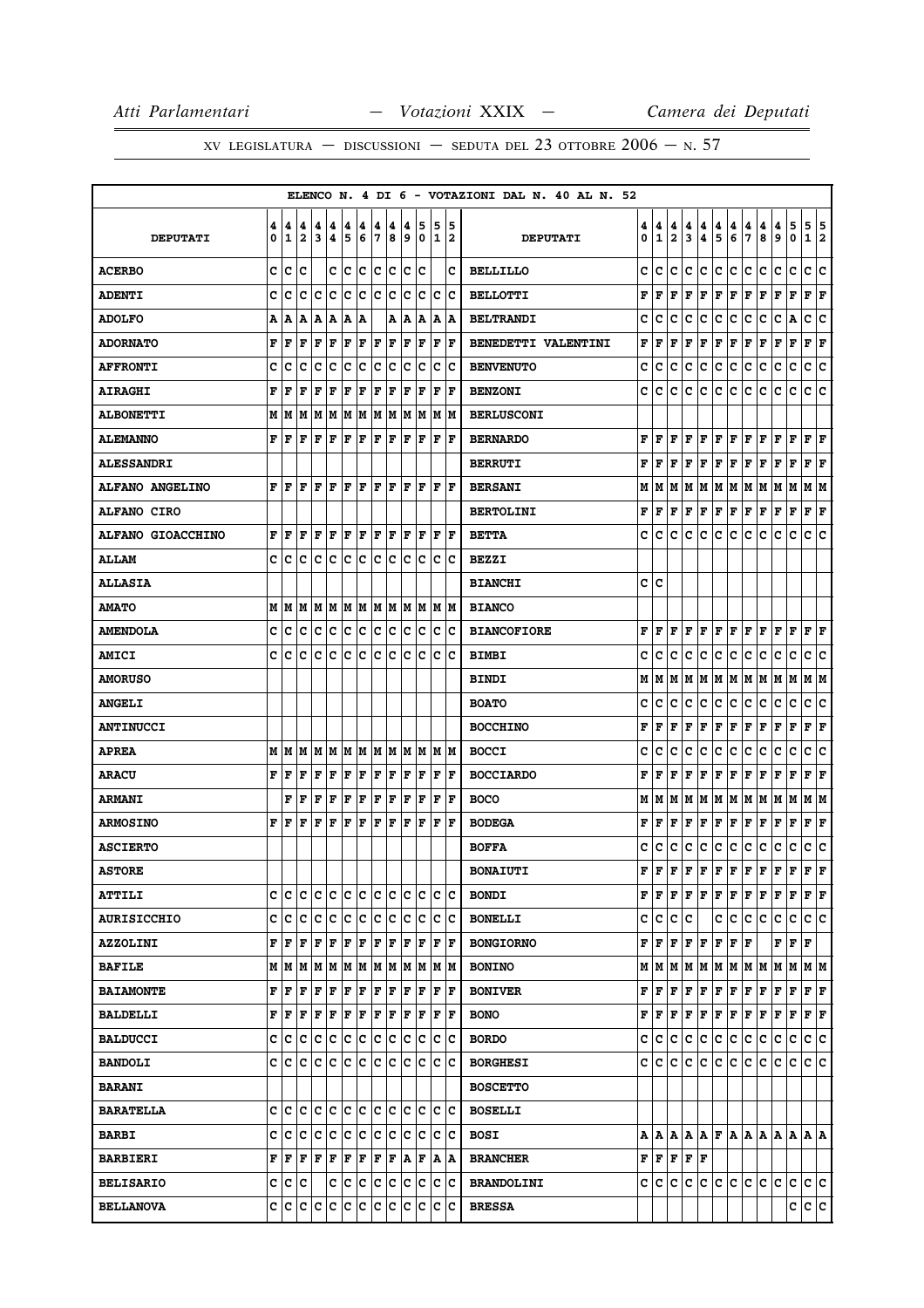|                          |        |        |                              |                              |                              |        |             |        |        |        |        |             |          |    | ELENCO N. 4 DI 6 - VOTAZIONI DAL N. 40 AL N. 52 |        |                                           |                              |        |                                                                                                                                                     |                      |                      |        |        |        |                |                        |     |
|--------------------------|--------|--------|------------------------------|------------------------------|------------------------------|--------|-------------|--------|--------|--------|--------|-------------|----------|----|-------------------------------------------------|--------|-------------------------------------------|------------------------------|--------|-----------------------------------------------------------------------------------------------------------------------------------------------------|----------------------|----------------------|--------|--------|--------|----------------|------------------------|-----|
| <b>DEPUTATI</b>          | 4<br>0 | 4<br>1 | 4<br>$\overline{\mathbf{2}}$ | 4<br>$\overline{\mathbf{3}}$ | 4<br>$\overline{\mathbf{4}}$ | 4<br>5 | 4<br>6      | 4<br>7 | 4<br>8 | 4<br>9 | 5<br>0 | 5<br>1      | 15<br>12 |    | <b>DEPUTATI</b>                                 | 4<br>0 | 4<br>$\mathbf{1}$                         | 4<br>$\overline{\mathbf{2}}$ | 4<br>3 | 4<br>4                                                                                                                                              | $\frac{4}{5}$        | 4<br>6               | 4<br>7 | 4<br>8 | 4<br>9 | 5<br>0         | 5<br>1 2               | 5   |
| <b>ACERBO</b>            | C      | lc     | c                            |                              | c                            | lc     | lc.         | lc.    | lc.    | lc.    | Ιc     |             |          | c  | <b>BELLILLO</b>                                 | c      | lc.                                       | c                            | c      | c                                                                                                                                                   | c                    | c                    | c.     | c      | c      | $\mathbf c$    | c                      | ١c  |
| <b>ADENTI</b>            | c      | c      | c                            | Iс                           | c                            | c      | c           | Ιc     | Ιc     | c      | Iс     | lc.         | Ιc       |    | <b>BELLOTTI</b>                                 | F      | F                                         | F                            | F      | F                                                                                                                                                   | F                    | F                    | F      | F      | F      | F              | F                      | F   |
| <b>ADOLFO</b>            | A      | ١A     | A                            | lA.                          | A                            | A      | Α           |        | Α      | ١A     | A      | Α           | ١A       |    | <b>BELTRANDI</b>                                | c      | с                                         | c                            | c      | c                                                                                                                                                   | c                    | Ιc                   | c      | c      | с      | A              | c                      | c   |
| <b>ADORNATO</b>          | F      | F      | F                            | F                            | F                            | F      | F           | F      | F      | F      | F      | F           | F        |    | BENEDETTI VALENTINI                             | F      | F                                         | F                            | F      | F                                                                                                                                                   | $ {\bf F}  {\bf F} $ |                      | F      | F      | F      | F              | ${\bf F}$ ${\bf F}$    |     |
| <b>AFFRONTI</b>          | c      | c      | c                            | с                            | c                            | c      | c           | c      | c      | c      | Ιc     | с           |          | Iс | <b>BENVENUTO</b>                                | c      | c                                         | c                            | c      | с                                                                                                                                                   | с                    | Iс                   | с      | c      | с      | c              | с                      | c   |
| <b>AIRAGHI</b>           | F      | F      | F                            | F                            | F                            | F      | F           | F      | F      | F      | F      | $\mathbf F$ | lF.      |    | <b>BENZONI</b>                                  | c      | ١c                                        | c                            | lc.    | c                                                                                                                                                   | c                    | c                    | с      | c      | с      | c              | c                      | ١c  |
| <b>ALBONETTI</b>         | М      | M      | M                            | M                            | M                            | M      | M           | lм     | M      | lм     | M      | M           | lм       |    | <b>BERLUSCONI</b>                               |        |                                           |                              |        |                                                                                                                                                     |                      |                      |        |        |        |                |                        |     |
| <b>ALEMANNO</b>          | F      | l F    | l F                          | F                            | F                            | l F    | F           | F      | F      | ΙF     | F      | l F         | l F      |    | <b>BERNARDO</b>                                 | F      | lF.                                       | F                            | F      | F                                                                                                                                                   | F F                  |                      | F      | F      | F      | F              | $ {\bf F}  {\bf F} $   |     |
| <b>ALESSANDRI</b>        |        |        |                              |                              |                              |        |             |        |        |        |        |             |          |    | <b>BERRUTI</b>                                  | F      | l F                                       | F                            | F      | F                                                                                                                                                   | $ {\bf F}  {\bf F} $ |                      | F      | F      | F      | $\mathbf F$    | ${\bf F} \mid {\bf F}$ |     |
| <b>ALFANO ANGELINO</b>   | F      | F      | F                            | F                            | F                            | F      | F           | ΙF     | F      | F      | F      | F           | lF.      |    | <b>BERSANI</b>                                  |        | MIM                                       |                              | MM     | M                                                                                                                                                   | M  M                 |                      | M      | M      | M      | M              | M   M                  |     |
| <b>ALFANO CIRO</b>       |        |        |                              |                              |                              |        |             |        |        |        |        |             |          |    | <b>BERTOLINI</b>                                | F      | F                                         | F                            | F      | F                                                                                                                                                   | F F                  |                      | F      | F      | F      | F              | $ {\bf F}  {\bf F} $   |     |
| <b>ALFANO GIOACCHINO</b> | F      | F      | F                            | F                            | F                            | F      | F           | ΙF     | F      | ΙF     | F      | F           | F        |    | <b>BETTA</b>                                    | c      | с                                         | с                            | c      | с                                                                                                                                                   | c                    | c                    | с      | c      | c      | c              | c                      | c   |
| <b>ALLAM</b>             | c      | Ιc     | Iс                           | с                            | Iс                           | lc.    | c           | lc.    | Iс     | lc.    | Iс     | c           | Ιc       |    | <b>BEZZI</b>                                    |        |                                           |                              |        |                                                                                                                                                     |                      |                      |        |        |        |                |                        |     |
| <b>ALLASIA</b>           |        |        |                              |                              |                              |        |             |        |        |        |        |             |          |    | <b>BIANCHI</b>                                  | c c    |                                           |                              |        |                                                                                                                                                     |                      |                      |        |        |        |                |                        |     |
| <b>AMATO</b>             | M      | lм     | lМ                           |                              | MM                           |        | M M         |        | M M    |        | M M    |             | IM IM    |    | <b>BIANCO</b>                                   |        |                                           |                              |        |                                                                                                                                                     |                      |                      |        |        |        |                |                        |     |
| <b>AMENDOLA</b>          | c      | c      | c                            | Iс                           | c                            | c      | c           | c      | c      | lc.    | Iс     | lc.         | Iс       |    | <b>BIANCOFIORE</b>                              | F      | lF.                                       | l F                          | F      | F                                                                                                                                                   | F F                  |                      | lF.    | lF.    | F      | l F            | FF                     |     |
| <b>AMICI</b>             | c      | с      | c                            | c                            | c                            | c      | c           | c      | с      | c      | lc.    | c           | ١c       |    | <b>BIMBI</b>                                    | c      | c                                         | c                            | c      | с                                                                                                                                                   | c                    | lc.                  | с      | c      | с      | c              | c                      | c   |
| <b>AMORUSO</b>           |        |        |                              |                              |                              |        |             |        |        |        |        |             |          |    | <b>BINDI</b>                                    |        | M   M                                     |                              |        | M  M  M  M  M  M  M  M                                                                                                                              |                      |                      |        |        |        |                | M M                    |     |
| <b>ANGELI</b>            |        |        |                              |                              |                              |        |             |        |        |        |        |             |          |    | <b>BOATO</b>                                    | c      | c                                         | c                            | c      | с                                                                                                                                                   | c                    | IС                   | с      | с      | с      | c              | с                      | c   |
| <b>ANTINUCCI</b>         |        |        |                              |                              |                              |        |             |        |        |        |        |             |          |    | <b>BOCCHINO</b>                                 | F      | l F                                       | F                            | F      | F                                                                                                                                                   | F                    | F                    | F      | F      | F      | F              | F                      | F   |
| <b>APREA</b>             | M      | lм     | lМ                           |                              | MM                           |        | M M         |        | M M    |        | M M    |             | M  M     |    | <b>BOCCI</b>                                    | c      | c                                         | c                            | с      | c                                                                                                                                                   | с                    | c                    | c      | c      | c      | c              | c                      | c   |
| <b>ARACU</b>             | F      | F      | F                            | F                            | F                            | F      | F           | F      | F      | F      | F      | F           | l F      |    | <b>BOCCIARDO</b>                                | F      | l F                                       | F                            | F      | F                                                                                                                                                   | F                    | F                    | F      | F      | F      | F              | F                      | F   |
| <b>ARMANI</b>            |        | F      | F                            | F                            | F                            | F      | F           | F      | F      | F      | F      | l F         | lF.      |    | <b>BOCO</b>                                     |        |                                           |                              |        | $M$ $ M$ $ M$ $ M$ $ M$ $ M$ $ M$ $ M$ $ M$                                                                                                         |                      |                      |        |        | MM     |                | M  M                   |     |
| <b>ARMOSINO</b>          | F      | l F    | F                            | F                            | $\mathbf F$                  | F      | F           | l F    | F      | l F    | ΙF     | F           | F        |    | <b>BODEGA</b>                                   | F      | l F                                       | F                            | l F    | F                                                                                                                                                   | F                    | F                    | F      | F      | F      | $\mathbf F$    | F                      | F   |
| <b>ASCIERTO</b>          |        |        |                              |                              |                              |        |             |        |        |        |        |             |          |    | <b>BOFFA</b>                                    | c      | c                                         | c                            | c      | с                                                                                                                                                   | с                    | IС                   | с      | с      | с      | c              | c                      | ١c  |
| <b>ASTORE</b>            |        |        |                              |                              |                              |        |             |        |        |        |        |             |          |    | <b>BONAIUTI</b>                                 | F      | l F                                       | lF.                          | F      | F                                                                                                                                                   | lF.                  | F                    | lF.    | l F    | F      | l F            | F                      | lF. |
| <b>ATTILI</b>            | с      | c      | c                            | c                            | ∣c                           | c      | $ {\bf c} $ | c      | ∣c     | c      | c      | c           | ∣c       |    | <b>BONDI</b>                                    |        |                                           |                              |        | ${\bf F}\, \,{\bf F}\, \,{\bf F}\, \,{\bf F}\, \,{\bf F}\, \,{\bf F}\, \,{\bf F}\, \,{\bf F}\, \,{\bf F}\,$                                         |                      |                      |        |        | F      | F              | $ {\bf F}  {\bf F} $   |     |
| <b>AURISICCHIO</b>       |        | c  c   | lc                           | Iс                           | c                            | c      | ∣c          | c      | Ιc     | lc.    | Ιc     | lc.         | Iс       |    | <b>BONELLI</b>                                  |        | c c c c                                   |                              |        |                                                                                                                                                     | c                    | c.                   | ∣c     | lc.    | с      | $\mathbf c$    | c c                    |     |
| <b>AZZOLINI</b>          | F      | F      | F                            | F                            | F                            | F      | F           | F      | F      | F      | F      | F           | ١F       |    | <b>BONGIORNO</b>                                |        | F F F F                                   |                              |        | F                                                                                                                                                   | F                    | $ {\bf F}  {\bf F} $ |        |        | F      | F              | F                      |     |
| <b>BAFILE</b>            |        | MM     | lм                           |                              | MM                           |        | MM          |        | MM     |        | M M    |             | M  M     |    | <b>BONINO</b>                                   |        |                                           |                              |        |                                                                                                                                                     |                      |                      |        |        |        | MMMMMMMMMMMMMM |                        |     |
| <b>BAIAMONTE</b>         |        | FF     | F                            | F                            | F                            | F      | F           | F      | F      | F      | F      | F           | ١F       |    | <b>BONIVER</b>                                  |        |                                           |                              |        | $\mathbf{F}\, \,\mathbf{F}\, \,\mathbf{F}\, \,\mathbf{F}\, \,\mathbf{F}\, \,\mathbf{F}\, \,\mathbf{F}\, \,\mathbf{F}\, \,\mathbf{F}\, \,\mathbf{F}$ |                      |                      |        |        | F      | F              | $ {\bf F}  {\bf F} $   |     |
| <b>BALDELLI</b>          |        | FF     | F                            | F                            | F                            |        | F F         | F F    |        | F      | F      | F           | F        |    | <b>BONO</b>                                     |        |                                           |                              |        | ${\bf F}\, \,{\bf F}\, \,{\bf F}\, \,{\bf F}\, \,{\bf F}\, \,{\bf F}\, \,{\bf F}\, \,{\bf F}\, \,{\bf F}\,$                                         |                      |                      |        |        | F      | F              | $ {\bf F}  {\bf F} $   |     |
| <b>BALDUCCI</b>          | c      | Ιc     | c                            | Iс                           | c                            | c      | c           | c      | c      | lc.    | Iс     | c           | ∣c       |    | <b>BORDO</b>                                    |        | C C                                       | C                            | lc.    | С                                                                                                                                                   | c c                  |                      | lc.    | Iс     | c      | с              | c c                    |     |
| <b>BANDOLI</b>           | C      | lc.    | lc                           | c                            | c                            | c      | ∣c          | c      | c      | c      | c      | c           | Iс       |    | <b>BORGHESI</b>                                 |        | c c c c                                   |                              |        | c c c c                                                                                                                                             |                      |                      |        | ∣c∶    | с      | c              | c c                    |     |
| <b>BARANI</b>            |        |        |                              |                              |                              |        |             |        |        |        |        |             |          |    | <b>BOSCETTO</b>                                 |        |                                           |                              |        |                                                                                                                                                     |                      |                      |        |        |        |                |                        |     |
| <b>BARATELLA</b>         |        | c  c   | ١c                           | Iс                           | Ιc                           | lC.    | ∣c          | lc.    | ΙC     | lc.    | ΙC     |             | ic ic    |    | <b>BOSELLI</b>                                  |        |                                           |                              |        |                                                                                                                                                     |                      |                      |        |        |        |                |                        |     |
| <b>BARBI</b>             |        | c c    | lc                           | c                            | c                            |        | c c         | c c    |        | c      | ∣c     | c c         |          |    | <b>BOSI</b>                                     |        |                                           |                              |        |                                                                                                                                                     |                      |                      |        |        |        |                |                        |     |
| <b>BARBIERI</b>          |        | FF     | l F                          | F                            | F                            | F      | F           | F      | F      | ۱A.    | F      | A           | ١A       |    | <b>BRANCHER</b>                                 |        | ${\bf F}$ $\bf F$ $\bf F$ $\bf F$ $\bf F$ |                              |        |                                                                                                                                                     |                      |                      |        |        |        |                |                        |     |
| <b>BELISARIO</b>         |        | c c c  |                              |                              | c                            | c c    |             | c c    |        |        | c c    |             | c c      |    | <b>BRANDOLINI</b>                               |        | c c c c                                   |                              |        | c                                                                                                                                                   |                      | c c c c              |        |        | с      | c              | c c                    |     |
| <b>BELLANOVA</b>         |        | c c    | c c                          |                              | c                            | c      | c           | ∣c     | c      | c      | Iс     | c           | Ιc       |    | <b>BRESSA</b>                                   |        |                                           |                              |        |                                                                                                                                                     |                      |                      |        |        |        | c              | c c                    |     |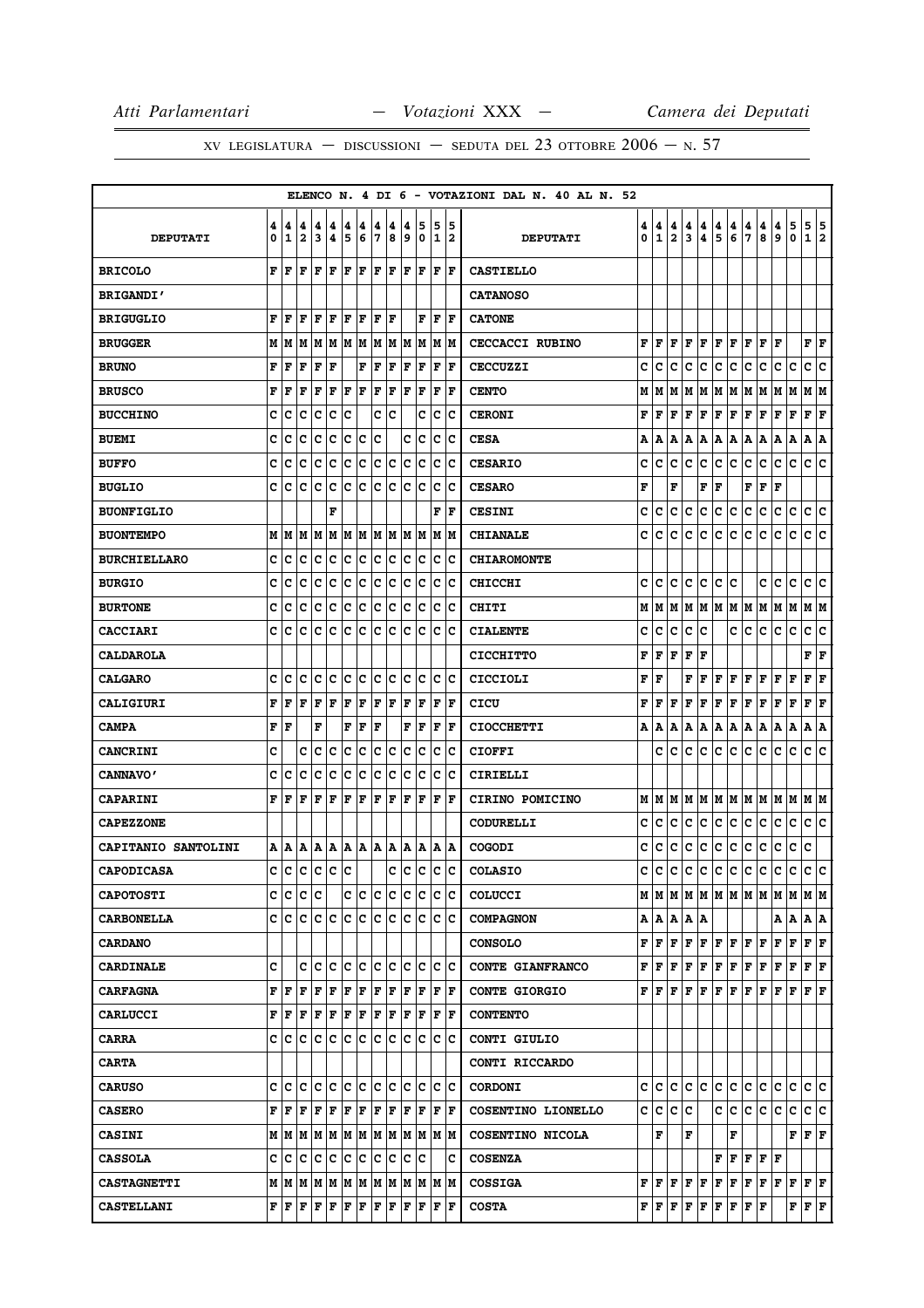|                     |        |        |                              |        |        |        |        |        |           |        |        |                   |                      | ELENCO N. 4 DI 6 - VOTAZIONI DAL N. 40 AL N. 52 |        |                   |                              |        |                                                                                                                                                     |              |                          |               |                                                                                                                                                                         |        |                                           |                        |                              |
|---------------------|--------|--------|------------------------------|--------|--------|--------|--------|--------|-----------|--------|--------|-------------------|----------------------|-------------------------------------------------|--------|-------------------|------------------------------|--------|-----------------------------------------------------------------------------------------------------------------------------------------------------|--------------|--------------------------|---------------|-------------------------------------------------------------------------------------------------------------------------------------------------------------------------|--------|-------------------------------------------|------------------------|------------------------------|
| <b>DEPUTATI</b>     | 4<br>0 | 4<br>1 | 4<br>$\overline{\mathbf{2}}$ | 4<br>3 | 4<br>4 | 4<br>5 | 4<br>6 | 4<br>7 | 4<br>8    | 4<br>9 | 5<br>0 | 5<br>$\mathbf{1}$ | 5<br>12              | <b>DEPUTATI</b>                                 | 4<br>0 | 4<br>$\mathbf{1}$ | 4<br>$\overline{\mathbf{2}}$ | 4<br>3 | 4<br>4                                                                                                                                              | 4<br>5       | $\frac{4}{6}$            | $\frac{4}{7}$ | 4<br>8                                                                                                                                                                  | 4<br>9 | 5<br>0                                    | 5<br>$\mathbf{1}$      | 5<br>$\overline{\mathbf{2}}$ |
| <b>BRICOLO</b>      | F      | F      | F                            | F      | F      | F      | F      | F      | F         | F      | F      | F                 | F                    | <b>CASTIELLO</b>                                |        |                   |                              |        |                                                                                                                                                     |              |                          |               |                                                                                                                                                                         |        |                                           |                        |                              |
| <b>BRIGANDI'</b>    |        |        |                              |        |        |        |        |        |           |        |        |                   |                      | <b>CATANOSO</b>                                 |        |                   |                              |        |                                                                                                                                                     |              |                          |               |                                                                                                                                                                         |        |                                           |                        |                              |
| <b>BRIGUGLIO</b>    | F      | F      | F                            | F      | l F    | ΙF     | l F    | F      | ΙF        |        | F      | F                 | F                    | <b>CATONE</b>                                   |        |                   |                              |        |                                                                                                                                                     |              |                          |               |                                                                                                                                                                         |        |                                           |                        |                              |
| <b>BRUGGER</b>      | М      | M      | M                            | M      | M      | M M    |        |        | M   M   M |        | M      |                   | M  M                 | <b>CECCACCI RUBINO</b>                          | F      | F                 | F                            |        | F F                                                                                                                                                 |              |                          |               | F F F F F                                                                                                                                                               |        |                                           | FF                     |                              |
| <b>BRUNO</b>        | F      | F      | F                            | F      | F      |        | F      | F      | F         | F      | F      | F                 | l F                  | <b>CECCUZZI</b>                                 | c      | c                 | c                            | c      | с                                                                                                                                                   | c            | c                        | с             | с                                                                                                                                                                       | с      | c                                         | c                      | c                            |
| <b>BRUSCO</b>       | F      | F      | F                            | F      | F      | F      | F      | F      | F         | F      | F      | F                 | F                    | <b>CENTO</b>                                    | М      | M                 | M                            | M      | M                                                                                                                                                   |              | M   M   M                |               | M   M   M                                                                                                                                                               |        |                                           | M M                    |                              |
| <b>BUCCHINO</b>     | c      | с      | c                            | с      | с      | c      |        | c      | с         |        | c      | с                 | c                    | <b>CERONI</b>                                   | F      | F                 | F                            | F      | F                                                                                                                                                   | F            | F                        | F             | F                                                                                                                                                                       | F      | F                                         | F                      | F                            |
| <b>BUEMI</b>        | c      | c      | c                            | c      | c      | c      | ∣c     | c      |           | с      | c      | c                 | Ιc                   | <b>CESA</b>                                     | А      | A                 | A                            | А      | A                                                                                                                                                   |              |                          |               | A  A  A  A  A                                                                                                                                                           |        | Α                                         | A  A                   |                              |
| <b>BUFFO</b>        | c      | c      | c                            | c      | c      | c      | c      | c      | c         | c      | c      | c                 | Ιc                   | <b>CESARIO</b>                                  | c      | с                 | c                            | c      | c                                                                                                                                                   |              | c c                      | c             | c                                                                                                                                                                       | c      | lc.                                       | c c                    |                              |
| <b>BUGLIO</b>       | c      | с      | c                            | c      | c      | c      | c      | c      | Ιc        | c      | Ιc     | c                 | Ιc                   | <b>CESARO</b>                                   | F      |                   | F                            |        | F                                                                                                                                                   | F            |                          |               | ${\tt F}\, {\tt F}\, {\tt F}\,$                                                                                                                                         |        |                                           |                        |                              |
| <b>BUONFIGLIO</b>   |        |        |                              |        | F      |        |        |        |           |        |        | F                 | lF.                  | <b>CESINI</b>                                   | c      | с                 | с                            | с      | с                                                                                                                                                   | c c          |                          | с             | c                                                                                                                                                                       | c      | c                                         | c c                    |                              |
| <b>BUONTEMPO</b>    | М      | M      | M                            | M      | M      | M      | M      | lм     | M         | M      | M      | М                 | lМ                   | <b>CHIANALE</b>                                 | c      | с                 | c                            | c      | с                                                                                                                                                   | c            | c                        | c             | с                                                                                                                                                                       | c      | c                                         | c                      | Iс                           |
| <b>BURCHIELLARO</b> | c      | с      | c                            | с      | c      | c      | c      | lc.    | c         | c      | Iс     | c                 | Iс                   | <b>CHIAROMONTE</b>                              |        |                   |                              |        |                                                                                                                                                     |              |                          |               |                                                                                                                                                                         |        |                                           |                        |                              |
| <b>BURGIO</b>       | c      | с      | с                            | c      | с      | c      | c      | c      | с         | c      | c      | c                 | c                    | <b>CHICCHI</b>                                  | с      | с                 | с                            | с      | с                                                                                                                                                   | с            | c                        |               | c                                                                                                                                                                       | c      | с                                         | с                      | c                            |
| <b>BURTONE</b>      | c      | c      | c                            | c      | c      | c      | c      | c      | c         | c      | c      | c                 | Ιc                   | <b>CHITI</b>                                    | М      | M                 | M                            |        |                                                                                                                                                     |              |                          |               | M  M  M  M  M  M  M  M                                                                                                                                                  |        |                                           | M M                    |                              |
| <b>CACCIARI</b>     | C      | c      | C                            | c      | c      | c      | c      | c      | c         | lc     | Ιc     | c                 | Ιc                   | <b>CIALENTE</b>                                 | c      | c                 | c                            | c      | c                                                                                                                                                   |              | c                        | c             | c                                                                                                                                                                       | lc.    | c                                         | c c                    |                              |
| <b>CALDAROLA</b>    |        |        |                              |        |        |        |        |        |           |        |        |                   |                      | <b>CICCHITTO</b>                                | F      | F                 | F                            | F      | F                                                                                                                                                   |              |                          |               |                                                                                                                                                                         |        |                                           | ${\bf F} \mid {\bf F}$ |                              |
| <b>CALGARO</b>      | c      | c      | c                            | Iс     | Iс     | lc.    | lc.    | lc.    | Iс        | lc.    | Iс     | lc.               | Iс                   | CICCIOLI                                        | F      | F                 |                              | F      | F                                                                                                                                                   |              | ${\bf F}$ $\bf F$        |               | F F F F                                                                                                                                                                 |        |                                           | ${\bf F} \mid {\bf F}$ |                              |
| <b>CALIGIURI</b>    | F      | F      | F                            | F      | F      | F      | F      | F      | F         | F      | F      | F                 | ΙF                   | CICU                                            | F      | F                 | F                            | F      | F                                                                                                                                                   | F            | F                        | $\mathbf{F}$  | F                                                                                                                                                                       | F      | F                                         | F                      | ١F                           |
| <b>CAMPA</b>        | F      | F      |                              | F      |        | F      | F      | F      |           | F      | F      | F                 | F                    | <b>CIOCCHETTI</b>                               | A      | A                 | A                            | Α      | Α                                                                                                                                                   |              | A   A                    | Α             | Α                                                                                                                                                                       | Α      | A                                         | A   A                  |                              |
| <b>CANCRINI</b>     | c      |        | c                            | c      | c      | c      | c      | c      | c         | c      | c      | c                 | Ιc                   | <b>CIOFFI</b>                                   |        | с                 | c                            | c      | c                                                                                                                                                   | c            | c                        | c             | c                                                                                                                                                                       | c      | c                                         | c                      | c                            |
| <b>CANNAVO'</b>     | c      | c      | c                            | c      | c      | c      | c      | с      | c         | с      | c      | c                 | c                    | CIRIELLI                                        |        |                   |                              |        |                                                                                                                                                     |              |                          |               |                                                                                                                                                                         |        |                                           |                        |                              |
| <b>CAPARINI</b>     | F      | F      | F                            | F      | F      | F      | F      | F      | F         | F      | F      | F                 | F                    | <b>CIRINO POMICINO</b>                          | М      | M                 | lМ                           | M      | M                                                                                                                                                   |              |                          |               | M  M  M  M  M  M                                                                                                                                                        |        |                                           | M M                    |                              |
| <b>CAPEZZONE</b>    |        |        |                              |        |        |        |        |        |           |        |        |                   |                      | CODURELLI                                       | c      | с                 | с                            | с      | c                                                                                                                                                   | c            | c                        | c             | c                                                                                                                                                                       | c      | c                                         | c c                    |                              |
| CAPITANIO SANTOLINI | А      | ۱A     | A                            | A      | A      | A      | A      | A      | A         | Α      | A      |                   | A  A                 | COGODI                                          | c      | c                 | c                            | с      | c                                                                                                                                                   | c            | c.                       | c             | c                                                                                                                                                                       | c      | c.                                        | c                      |                              |
| <b>CAPODICASA</b>   | c      | lc.    | c                            | lc     | c      | lc.    |        |        | c         | c      | lc     | lc.               | lc.                  | <b>COLASIO</b>                                  | c      | lc.               | lc.                          | c      | c                                                                                                                                                   | $\mathbf{C}$ | c                        | c.            | c                                                                                                                                                                       | c      | c.                                        | c c                    |                              |
| <b>CAPOTOSTI</b>    | c      | c      | lc.                          | Iс     |        | с      | ∣c     | c      | Iс        | IС     | Iс     | c                 | Ιc                   | <b>COLUCCI</b>                                  |        |                   |                              |        |                                                                                                                                                     |              |                          |               |                                                                                                                                                                         |        |                                           |                        |                              |
| <b>CARBONELLA</b>   | C      | c      | c                            | Iс     | c      | lc.    | c      | c      | Iс        | lc.    | Iс     | lc.               | ΙC                   | <b>COMPAGNON</b>                                |        |                   |                              |        | A   A   A   A                                                                                                                                       |              |                          |               |                                                                                                                                                                         |        | A   A   A   A                             |                        |                              |
| <b>CARDANO</b>      |        |        |                              |        |        |        |        |        |           |        |        |                   |                      | <b>CONSOLO</b>                                  |        |                   |                              |        | $\mathbf{F}\, \,\mathbf{F}\, \,\mathbf{F}\, \,\mathbf{F}\, \,\mathbf{F}\, \,\mathbf{F}\, \,\mathbf{F}\, \,\mathbf{F}\, \,\mathbf{F}\, \,\mathbf{F}$ |              |                          |               |                                                                                                                                                                         | F      | F                                         | F F                    |                              |
| <b>CARDINALE</b>    | C      |        | c                            | Iс     | ١c     | lc.    | lc.    | lc.    | c         | c      | lc     | lc.               | ΙC                   | CONTE GIANFRANCO                                |        |                   |                              |        |                                                                                                                                                     |              |                          |               | ${\bf F}\, \, {\bf F}\, \, {\bf F}\, \, {\bf F}\, \, {\bf F}\, \, {\bf F}\, \, {\bf F}\, \, {\bf F}\, \, {\bf F}\, \, {\bf F}\, \, {\bf F}\,$                           |        |                                           | F F                    |                              |
| <b>CARFAGNA</b>     | F      | F      | F                            | F      | F      | F      | F      | F      | F         | F      | l F    | F                 | ١F                   | <b>CONTE GIORGIO</b>                            |        |                   |                              |        |                                                                                                                                                     |              |                          |               | ${\bf F}\, \,{\bf F}\, \,{\bf F}\, \,{\bf F}\, \,{\bf F}\, \,{\bf F}\, \,{\bf F}\, \,{\bf F}\, \,{\bf F}\, \,{\bf F}\, \,{\bf F}\, \,{\bf F}\, \,{\bf F}\, \,{\bf F}\,$ |        |                                           |                        |                              |
| <b>CARLUCCI</b>     | F      | F      | F                            | F F    |        | F F    |        | F F    |           |        | F F    |                   | $ {\bf F}  {\bf F} $ | <b>CONTENTO</b>                                 |        |                   |                              |        |                                                                                                                                                     |              |                          |               |                                                                                                                                                                         |        |                                           |                        |                              |
| <b>CARRA</b>        | c      | lc.    | c                            | с      | c      | lc.    | lc.    | lc.    | lc.       | lc.    | lc     |                   | lc Ic                | CONTI GIULIO                                    |        |                   |                              |        |                                                                                                                                                     |              |                          |               |                                                                                                                                                                         |        |                                           |                        |                              |
| <b>CARTA</b>        |        |        |                              |        |        |        |        |        |           |        |        |                   |                      | CONTI RICCARDO                                  |        |                   |                              |        |                                                                                                                                                     |              |                          |               |                                                                                                                                                                         |        |                                           |                        |                              |
| <b>CARUSO</b>       | c      | c      | C                            | c      | c      | lc.    | c      | lc.    | lc        | c      | lc     | lc.               | lc                   | <b>CORDONI</b>                                  | c      | с                 | c                            | c      | c                                                                                                                                                   | c            | c.                       | c             | c                                                                                                                                                                       | c      | c                                         | c c                    |                              |
| <b>CASERO</b>       | F      | lF     | F                            | F      | F      | F      | F      | F      | F         | l F    | F      |                   | F  F                 | COSENTINO LIONELLO                              |        | c c c c           |                              |        |                                                                                                                                                     | c            |                          |               | c c c c                                                                                                                                                                 |        | c                                         | c c                    |                              |
| <b>CASINI</b>       |        |        |                              |        |        |        |        |        |           |        |        |                   |                      | COSENTINO NICOLA                                |        | F                 |                              | F      |                                                                                                                                                     |              | F                        |               |                                                                                                                                                                         |        | ${\bf F} \,   \, {\bf F} \,   \, {\bf F}$ |                        |                              |
| <b>CASSOLA</b>      | c      | c      | lc.                          | Iс     | c      | c      | c      | lc.    | Iс        | lc.    | ١c     |                   | c                    | <b>COSENZA</b>                                  |        |                   |                              |        |                                                                                                                                                     |              |                          |               | F F F F F                                                                                                                                                               |        |                                           |                        |                              |
| <b>CASTAGNETTI</b>  |        |        |                              |        |        |        |        |        |           |        |        |                   |                      | <b>COSSIGA</b>                                  |        |                   |                              |        | ${\bf F}$ $\bf F$ $\bf F$ $\bf F$ $\bf F$                                                                                                           |              |                          |               | F   F   F   F   F   F   F                                                                                                                                               |        |                                           |                        |                              |
| <b>CASTELLANI</b>   | F      | F      | F                            | F      | F      | F      | F      | F      | F         | F      | F      | F                 | F                    | <b>COSTA</b>                                    |        | FF                | F                            | F      | F                                                                                                                                                   |              | $\mathbf{F} \mathbf{F} $ | F F           |                                                                                                                                                                         |        | ${\bf F} \,   \, {\bf F} \,   \, {\bf F}$ |                        |                              |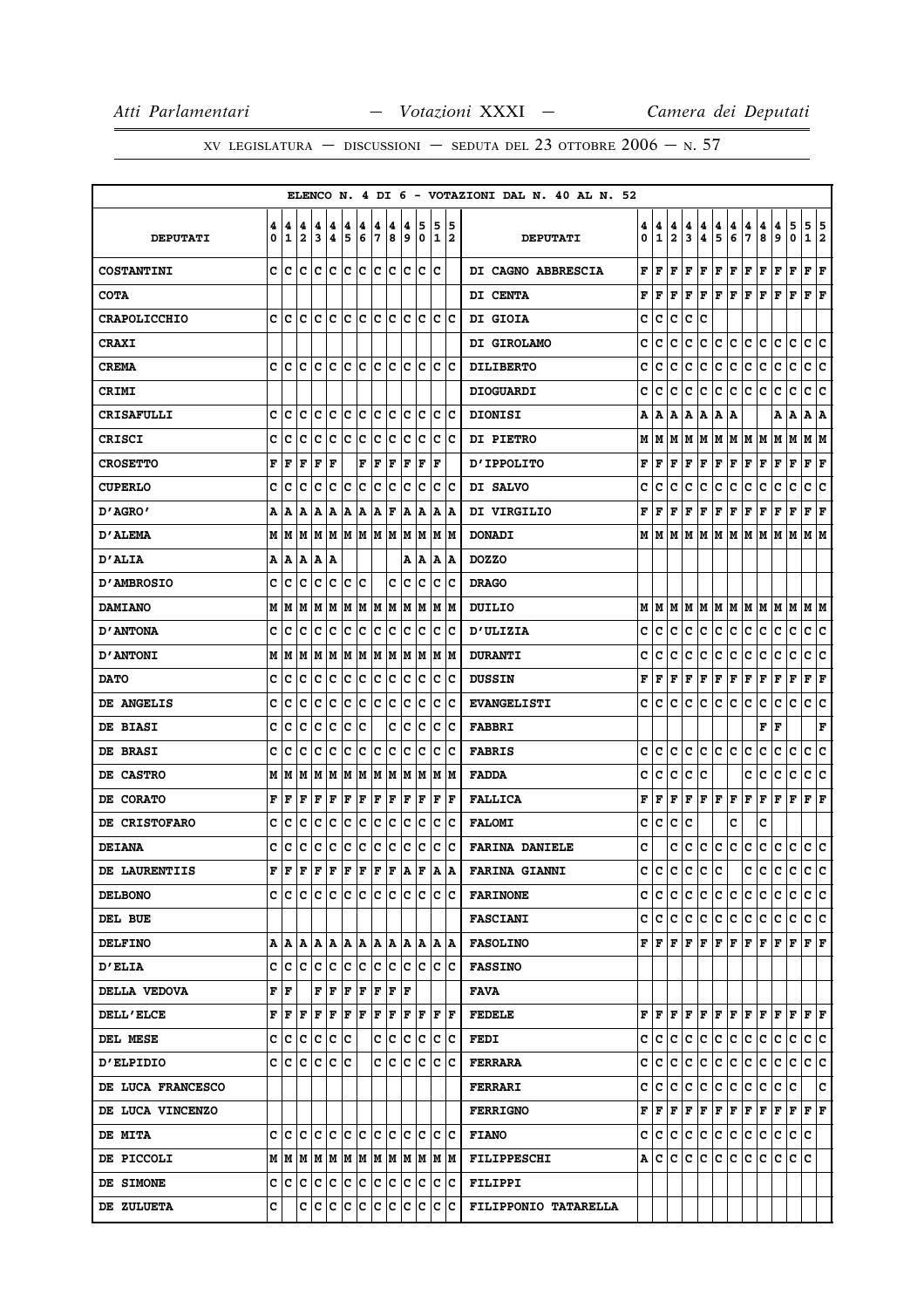|                     |        |                                         |        |                      |                       |        |        |         |             |        |                      |                                    |                      | ELENCO N. 4 DI 6 - VOTAZIONI DAL N. 40 AL N. 52 |        |                   |                              |        |           |                                                                                                             |        |                      |        |        |                                                                                                         |                           |     |
|---------------------|--------|-----------------------------------------|--------|----------------------|-----------------------|--------|--------|---------|-------------|--------|----------------------|------------------------------------|----------------------|-------------------------------------------------|--------|-------------------|------------------------------|--------|-----------|-------------------------------------------------------------------------------------------------------------|--------|----------------------|--------|--------|---------------------------------------------------------------------------------------------------------|---------------------------|-----|
| <b>DEPUTATI</b>     | 4<br>0 | 4<br>1                                  | 4<br>2 | 4<br>3               | 4<br>$\boldsymbol{4}$ | 4<br>5 | 4<br>6 | 4<br>17 | 4<br>8      | 4<br>و | 5<br>0               | 5                                  | 5<br>12              | <b>DEPUTATI</b>                                 | 4<br>0 | 4<br>$\mathbf{1}$ | 4<br>$\overline{\mathbf{2}}$ | 4<br>3 | 4<br>4    | 4<br>5                                                                                                      | 4<br>6 | 4<br>7               | 4<br>8 | 4<br>9 | 5<br>0                                                                                                  | 5 5<br>1 2                |     |
| <b>COSTANTINI</b>   |        | c Ic                                    | ١c     | ١c                   | lc                    | lc.    | lc.    | lc lc   |             | lc.    | lc                   | Ic                                 |                      | DI CAGNO ABBRESCIA                              | F      | l F               | F                            | F      | F         | F                                                                                                           | F      | F                    | F      | F      | F                                                                                                       | ${\bf F}$ ${\bf F}$       |     |
| <b>COTA</b>         |        |                                         |        |                      |                       |        |        |         |             |        |                      |                                    |                      | DI CENTA                                        | F      | l F               | F                            | F      | F         | F                                                                                                           | F      | $ {\bf F}  {\bf F} $ |        | F      | F                                                                                                       | $ {\bf F}  {\bf F} $      |     |
| <b>CRAPOLICCHIO</b> |        | c Ic                                    | IC     | ١c                   | Ιc                    | lc.    | IC.    | lc.     | Iс          | lc.    | Ιc                   | c                                  | ١c                   | <b>DI GIOIA</b>                                 | c      | c                 | c                            | c      | c         |                                                                                                             |        |                      |        |        |                                                                                                         |                           |     |
| <b>CRAXI</b>        |        |                                         |        |                      |                       |        |        |         |             |        |                      |                                    |                      | DI GIROLAMO                                     | c      | c                 | c                            | с      | c         | c.                                                                                                          | c      | c                    | Iс     | c      | c                                                                                                       | c c                       |     |
| <b>CREMA</b>        | c      | c                                       | c      | Iс                   | lc                    | lc.    | ١c     | ١c      | lc          | c      | lc                   | c                                  | Ιc                   | <b>DILIBERTO</b>                                | c      | c                 | c                            | c      | с         | c                                                                                                           | c      | с                    | c      | c      | c                                                                                                       | c                         | c   |
| <b>CRIMI</b>        |        |                                         |        |                      |                       |        |        |         |             |        |                      |                                    |                      | <b>DIOGUARDI</b>                                | c      | c                 | c                            | c      | c         | с                                                                                                           | c      | c                    | c      | с      | $\mathbf c$                                                                                             | c                         | ١c  |
| <b>CRISAFULLI</b>   | c      | C                                       | Ιc     | Ιc                   | Ιc                    | lc.    | Iс     | lc.     | Iс          | Iс     | Iс                   | Iс                                 | Iс                   | <b>DIONISI</b>                                  | А      | Α                 | Α                            | А      | Α         | A                                                                                                           | A      |                      |        | А      | A                                                                                                       | A   A                     |     |
| CRISCI              | c      | с                                       | c      | Iс                   | Iс                    | Ιc     | c      | Ιc      | Iс          | Iс     | Iс                   | c                                  | ΙC                   | <b>DI PIETRO</b>                                | М      | M                 | lМ                           |        | MM        | M M M M                                                                                                     |        |                      |        | M      | M                                                                                                       | M  M                      |     |
| <b>CROSETTO</b>     | F      | F                                       | F      | F                    | F                     |        | F      | F       | F           | F      | F                    | ΙF                                 |                      | <b>D'IPPOLITO</b>                               | F      | F                 | F                            | F      | F         | F                                                                                                           | F      | F                    | F      | F      | F                                                                                                       | ${\bf F} \,   \, {\bf F}$ |     |
| <b>CUPERLO</b>      | C      | с                                       | c      | с                    | c                     | Ιc     | c      | c       | c           | c      | c                    | с                                  | Ιc                   | DI SALVO                                        | c      | c                 | c                            | c      | с         | с                                                                                                           | c      | с                    | c      | с      | с                                                                                                       | с                         | c   |
| "AGRO מ             |        | A A                                     | ١A     | A                    | ١A                    | A      | ١A     | A       | F           | A      | A                    | A                                  | A                    | DI VIRGILIO                                     | F      | F                 | F                            | F      | F         | F                                                                                                           | F      | F                    | F      | F      | F                                                                                                       | $ {\bf F}  {\bf F} $      |     |
| D'ALEMA             |        | MM                                      | M      | lм                   | M                     |        |        | M M M M |             | lм     | M                    | М                                  | lМ                   | <b>DONADI</b>                                   | М      | M                 | М                            | м      | lм        | М                                                                                                           | M      | M                    | M      | M      | M                                                                                                       | МM                        |     |
| <b>D'ALIA</b>       |        | A   A   A                               |        | A  A                 |                       |        |        |         |             |        | A   A                |                                    | A  A                 | <b>DOZZO</b>                                    |        |                   |                              |        |           |                                                                                                             |        |                      |        |        |                                                                                                         |                           |     |
| D'AMBROSIO          | c      | lc                                      | Ιc     | Ιc                   | Ιc                    | Iс     | ١c     |         | c           | Iс     | Iс                   | Iс                                 | Ιc                   | <b>DRAGO</b>                                    |        |                   |                              |        |           |                                                                                                             |        |                      |        |        |                                                                                                         |                           |     |
| <b>DAMIANO</b>      |        | M   M                                   | lМ     | lМ                   | M                     | M      | M      |         | M M         | M      | M                    | lм                                 | lМ                   | DUILIO                                          | М      | M                 | М                            | М      | M         | M                                                                                                           | M      | M                    | M      | M      | M                                                                                                       | M  M                      |     |
| <b>D'ANTONA</b>     | c      | Iс                                      | lc.    | IC IC                |                       | IC.    | ∣c     | c c     |             | lc.    | Iс                   | Iс                                 | ΙC                   | <b>D'ULIZIA</b>                                 | c      | с                 | c                            | c      | c         | с                                                                                                           | c      | с                    | c      | c      | c                                                                                                       | c c                       |     |
| <b>D'ANTONI</b>     |        | MIM                                     | M      | lМ                   | M                     | M      | M      | M       | M           | lМ     | lМ                   | lм                                 | lМ                   | <b>DURANTI</b>                                  | c      | c                 | c                            | c      | с         | с                                                                                                           | c      | c                    | c      | с      | c                                                                                                       | c                         | ∣c  |
| <b>DATO</b>         | c      | c                                       | c      | с                    | c                     | c      | c      | Iс      | c           | IС     | c                    | c                                  | c                    | <b>DUSSIN</b>                                   | F      | F                 | F                            | F      | F         | Г                                                                                                           | F      | F                    | F      | Г      | F                                                                                                       | F F                       |     |
| DE ANGELIS          | C      | Iс                                      | c      | Iс                   | c                     | c      | c      | Ιc      | с           | c      | Ιc                   | c                                  | Ιc                   | <b>EVANGELISTI</b>                              | c      | c                 | c                            | c      | с         | c                                                                                                           | c      | c                    | c      | c      | c                                                                                                       | c                         | c   |
| DE BIASI            | c      | C                                       | c      | Iс                   | Ιc                    | Ιc     | c      |         | C           | Iс     | Ιc                   | c                                  | ١c                   | <b>FABBRI</b>                                   |        |                   |                              |        |           |                                                                                                             |        |                      | F      | F      |                                                                                                         |                           | F   |
| DE BRASI            | c      | с                                       | c      | Iс                   | Iс                    | Ιc     | Iс     | Iс      | Iс          | c      | Ιc                   | c                                  | Ιc                   | <b>FABRIS</b>                                   | c      | c                 | c                            | c      | c         | c                                                                                                           | c      | c                    | c      | с      | c                                                                                                       | c                         | lc. |
| DE CASTRO           |        | M   M                                   | lМ     | lм                   | lм                    | M      | M      | M       | M           | M      | lМ                   | М                                  | lМ                   | <b>FADDA</b>                                    | c      | c                 | c                            | c      | с         |                                                                                                             |        | c                    | c      | c      | $\mathbf C$                                                                                             | c                         | c   |
| DE CORATO           | F      | F                                       | F      | F                    | F                     | F      | F      | F       | F           | F      | F                    | F                                  | ١F                   | <b>FALLICA</b>                                  | F      | F                 | F                            | F      |           | F F F                                                                                                       |        | F                    | F      | F      | F                                                                                                       | $ {\bf F}  {\bf F} $      |     |
| DE CRISTOFARO       | c      | с                                       | c      | с                    | c                     | c      | c      | c       | c           | c      | c                    | с                                  | Iс                   | <b>FALOMI</b>                                   | c      | c                 | с                            | c      |           |                                                                                                             | c      |                      | c      |        |                                                                                                         |                           |     |
| <b>DEIANA</b>       | c      | c                                       | c      | c                    | c                     | c      | c      | c       | c           | c      | c                    | c                                  | Ιc                   | <b>FARINA DANIELE</b>                           | c      |                   | c                            | c      | lc.       | c                                                                                                           | lc.    | c                    | c      | c      | c                                                                                                       | c c                       |     |
| DE LAURENTIIS       | F      | l F                                     | l F    | F                    | F F                   |        | F      | F       | F           | ١A     | F                    | A                                  | A                    | <b>FARINA GIANNI</b>                            | c      | lc.               | c                            | lc.    | lc.       | c                                                                                                           |        | c                    | lc.    | lc.    | lc.                                                                                                     | c.                        | c   |
| <b>DELBONO</b>      |        | e le le le le le le le le le le le le l |        |                      |                       |        |        |         |             |        |                      |                                    |                      | <b>FARINONE</b>                                 |        |                   |                              |        |           | cicicicicicic                                                                                               |        | lC.                  | IC.    | lc.    | IС                                                                                                      | c c                       |     |
| DEL BUE             |        |                                         |        |                      |                       |        |        |         |             |        |                      |                                    |                      | <b>FASCIANI</b>                                 |        |                   |                              |        |           | c c c c c c c c c c c c c c                                                                                 |        |                      |        |        |                                                                                                         | c c                       |     |
| <b>DELFINO</b>      |        |                                         |        |                      |                       |        |        |         |             |        |                      |                                    | IA IA                | <b>FASOLINO</b>                                 |        |                   |                              |        |           |                                                                                                             |        |                      |        |        |                                                                                                         |                           |     |
| <b>D'ELIA</b>       |        | c c c c c c c c c c c c c c c c         |        |                      |                       |        |        |         |             |        |                      |                                    |                      | <b>FASSINO</b>                                  |        |                   |                              |        |           |                                                                                                             |        |                      |        |        |                                                                                                         |                           |     |
| DELLA VEDOVA        |        | F  F                                    |        | F F                  |                       | F      | F      |         | $F$ $F$ $F$ |        |                      |                                    |                      | <b>FAVA</b>                                     |        |                   |                              |        |           |                                                                                                             |        |                      |        |        |                                                                                                         |                           |     |
| <b>DELL'ELCE</b>    |        | F F F                                   |        | $ {\bf F}  {\bf F} $ |                       | F F    |        | F F     |             |        | $ {\bf F}  {\bf F} $ |                                    | $ {\bf F}  {\bf F} $ | <b>FEDELE</b>                                   |        |                   |                              |        |           |                                                                                                             |        |                      |        |        | ${\bf F}[{\bf F}[{\bf F}] {\bf F}[{\bf F}] {\bf F}[{\bf F}] {\bf F}[{\bf F}] {\bf F}[{\bf F}] {\bf F}]$ |                           |     |
| DEL MESE            |        | c c c c c c                             |        |                      |                       |        |        |         | c c         |        | c c                  | Iс                                 | ΙC                   | <b>FEDI</b>                                     |        |                   |                              |        |           | c c c c c c c c                                                                                             |        | c c                  |        | c.     | lc.                                                                                                     | c c                       |     |
| <b>D'ELPIDIO</b>    |        | c  c  c  c  c  c                        |        |                      |                       |        |        |         | c c         |        | c c                  |                                    | c c                  | <b>FERRARA</b>                                  |        |                   | c  c  c  c                   |        |           | c c c c c                                                                                                   |        |                      |        |        | c c c c                                                                                                 |                           |     |
| DE LUCA FRANCESCO   |        |                                         |        |                      |                       |        |        |         |             |        |                      |                                    |                      | <b>FERRARI</b>                                  |        |                   |                              |        | c c c c c | c c                                                                                                         |        | c c                  |        | c c    |                                                                                                         |                           | c   |
| DE LUCA VINCENZO    |        |                                         |        |                      |                       |        |        |         |             |        |                      |                                    |                      | <b>FERRIGNO</b>                                 |        |                   |                              |        |           | ${\bf F}\, \,{\bf F}\, \,{\bf F}\, \,{\bf F}\, \,{\bf F}\, \,{\bf F}\, \,{\bf F}\, \,{\bf F}\, \,{\bf F}\,$ |        |                      |        |        | F F F F                                                                                                 |                           |     |
| <b>DE MITA</b>      |        |                                         |        |                      |                       |        |        |         |             |        |                      |                                    |                      | <b>FIANO</b>                                    |        |                   |                              |        | C C C C C | c c                                                                                                         |        | C.                   | c      | C.     | c c                                                                                                     |                           |     |
| DE PICCOLI          |        |                                         |        |                      |                       |        |        |         |             |        |                      |                                    |                      | <b>FILIPPESCHI</b>                              |        |                   | A   C   C                    |        | c c       | c c                                                                                                         |        | ∣c∙                  | IC.    | IС     | c c                                                                                                     |                           |     |
| DE SIMONE           |        | C C C C C C C C C C C C                 |        |                      |                       |        |        |         |             |        |                      |                                    | c c                  | <b>FILIPPI</b>                                  |        |                   |                              |        |           |                                                                                                             |        |                      |        |        |                                                                                                         |                           |     |
| DE ZULUETA          | c      |                                         |        |                      |                       |        |        |         |             |        |                      | c  c  c  c  c  c  c  c  c  c  c  c |                      | FILIPPONIO TATARELLA                            |        |                   |                              |        |           |                                                                                                             |        |                      |        |        |                                                                                                         |                           |     |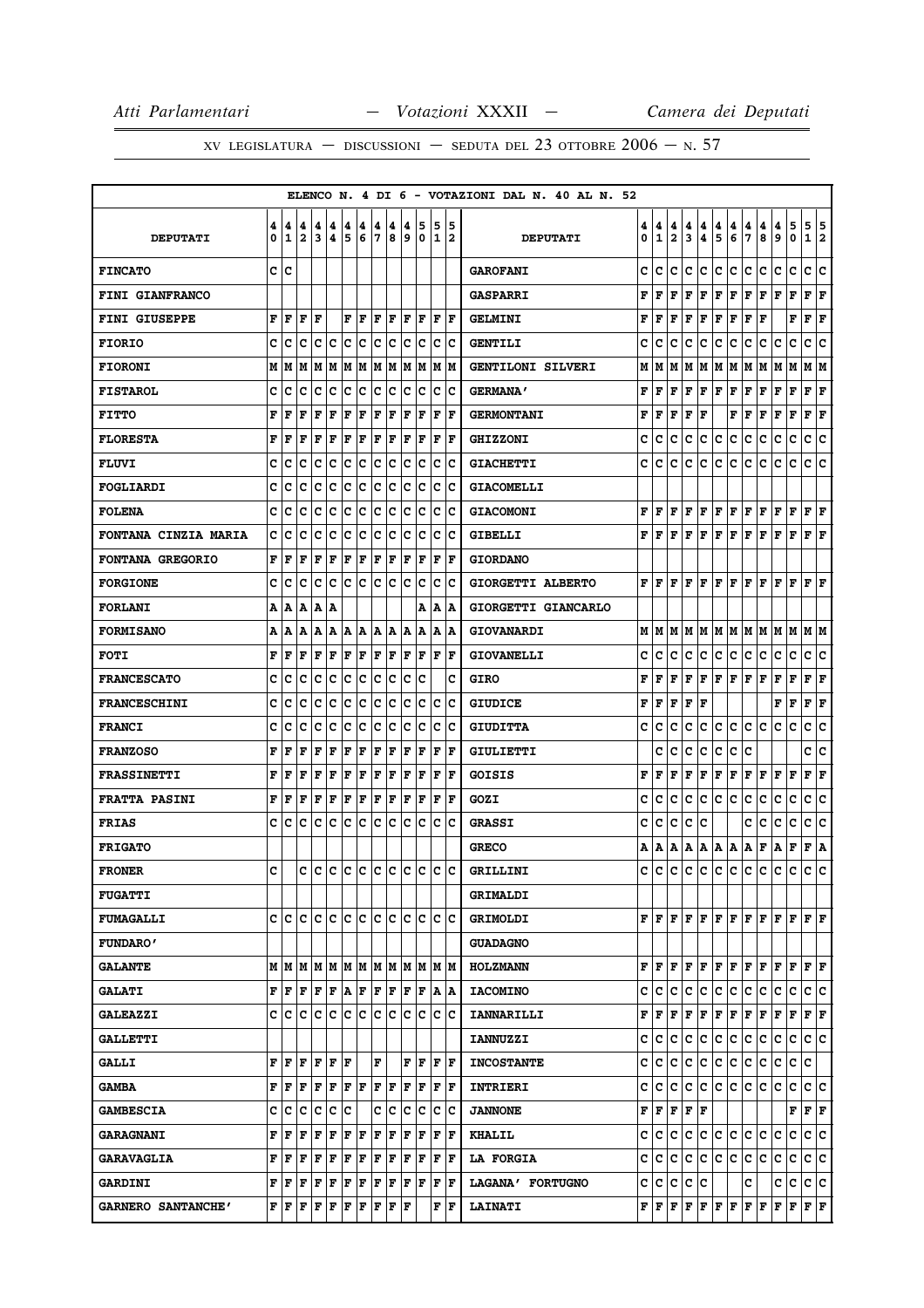|                             |        |                   |                              |                              |        |        |             |        |             |        |                  |                   |          | ELENCO N. 4 DI 6 - VOTAZIONI DAL N. 40 AL N. 52 |        |                                           |                              |        |                                                                                                                                        |        |         |                      |        |                      |              |                      |        |
|-----------------------------|--------|-------------------|------------------------------|------------------------------|--------|--------|-------------|--------|-------------|--------|------------------|-------------------|----------|-------------------------------------------------|--------|-------------------------------------------|------------------------------|--------|----------------------------------------------------------------------------------------------------------------------------------------|--------|---------|----------------------|--------|----------------------|--------------|----------------------|--------|
| <b>DEPUTATI</b>             | 4<br>0 | 4<br>$\mathbf{1}$ | 4<br>$\overline{\mathbf{2}}$ | 4<br>$\overline{\mathbf{3}}$ | 4<br>4 | 4<br>5 | 4<br>6      | 4<br>7 | 4<br>8      | 4<br>9 | 5<br>$\mathbf 0$ | 5<br>$\mathbf{1}$ | 15<br>12 | <b>DEPUTATI</b>                                 | 4<br>0 | 4<br>$\mathbf{1}$                         | 4<br>$\overline{\mathbf{2}}$ | 4<br>3 | 4<br>4                                                                                                                                 | 4<br>5 | 4<br>6  | 4<br>7               | 4<br>8 | 4<br>9               | 5<br>0       | 5<br>$\mathbf{1}$    | 5<br>2 |
| <b>FINCATO</b>              |        | c c               |                              |                              |        |        |             |        |             |        |                  |                   |          | <b>GAROFANI</b>                                 | c      | c                                         | c                            | c      | c                                                                                                                                      | c      | lc.     | c                    | c      | c                    | $\mathbf c$  | c                    | c      |
| <b>FINI GIANFRANCO</b>      |        |                   |                              |                              |        |        |             |        |             |        |                  |                   |          | <b>GASPARRI</b>                                 | F      | F                                         | F                            | F      | F                                                                                                                                      | F      | F       | F                    | F      | F                    | $\mathbf F$  | F                    | F      |
| <b>FINI GIUSEPPE</b>        | F      | F                 | F                            | F                            |        | F      | ΙF          | ΙF     | F           | ΙF     | F                | F                 | lF.      | <b>GELMINI</b>                                  | F      | ΙF                                        | F                            | l F    | F                                                                                                                                      | F      | F       | F                    | F      |                      | F            | F                    | F      |
| <b>FIORIO</b>               | c      | c                 | c                            | c                            | c      | c      | c           | c      | IС          | c      | Ιc               | c                 | Ιc       | <b>GENTILI</b>                                  | c      | c                                         | c                            | c      | с                                                                                                                                      | c      | c       | c                    | с      | с                    | c            | c                    | c      |
| <b>FIORONI</b>              | M      | M                 | M                            | M                            | lМ     | lМ     | M           | M      | M           | lМ     | M                | M                 | lМ       | GENTILONI SILVERI                               | М      | IМ                                        | M                            |        | M   M   M                                                                                                                              |        |         | M                    | M      | M                    | lМ           | M   M                |        |
| <b>FISTAROL</b>             | c      | c                 | с                            | c                            | c      | c      | c           | c      | c           | c      | c                | с                 | Ιc       | <b>GERMANA'</b>                                 | F      | F                                         | F                            | F      | F                                                                                                                                      | F      | F       | F                    | F      | F                    | F            | F                    | F      |
| <b>FITTO</b>                | F      | F                 | F                            | F                            | F      | F      | F           | F      | F           | F      | F                | F                 | l F      | <b>GERMONTANI</b>                               | F      | l F                                       | F                            | F      | F                                                                                                                                      |        | F       | F                    | F      | F                    | F            | F                    | F      |
| <b>FLORESTA</b>             | F      | F                 | F                            | F                            | F      | ΙF     | F           | l F    | F           | l F    | F                | F                 | F        | <b>GHIZZONI</b>                                 | c      | c                                         | c                            | c      | c                                                                                                                                      | c      | c       | c                    | c      | c                    | C            | c                    | c      |
| <b>FLUVI</b>                | c      | c                 | c                            | c                            | с      | c      | c           | c      | c           | lc.    | Ιc               | c                 | Ιc       | <b>GIACHETTI</b>                                | c      | c                                         | c                            | c      | c                                                                                                                                      | с      | c       | с                    | c      | с                    | c            | c                    | c      |
| FOGLIARDI                   | c      | c                 | c                            | c                            | c      | c      | c           | c      | с           | c      | Ιc               | c                 | Ιc       | <b>GIACOMELLI</b>                               |        |                                           |                              |        |                                                                                                                                        |        |         |                      |        |                      |              |                      |        |
| <b>FOLENA</b>               | c      | c                 | c                            | c                            | c      | c      | c           | c      | c           | c      | lc.              | c                 | lc       | <b>GIACOMONI</b>                                | F      | F F                                       |                              |        | F F                                                                                                                                    | F F    |         | F F                  |        | $ {\bf F}  {\bf F} $ |              | $ {\bf F}  {\bf F} $ |        |
| <b>FONTANA CINZIA MARIA</b> | c      | c                 | c                            | c                            | c      | c      | c           | c      | c           | c      | c                | c                 | Iс       | <b>GIBELLI</b>                                  | F      | l F                                       | F                            | l F    | F                                                                                                                                      | F      | F       | F                    | F      | F                    | F            | F                    | ΙF     |
| <b>FONTANA GREGORIO</b>     | F      | l F               | F                            | F                            | F      | F      | F           | F      | F           | F      | F                | $\mathbf F$       | l F      | <b>GIORDANO</b>                                 |        |                                           |                              |        |                                                                                                                                        |        |         |                      |        |                      |              |                      |        |
| <b>FORGIONE</b>             | C      | c                 | c                            | c                            | C      | c      | c           | lc     | lc          | C      | Ιc               | C                 | Ιc       | GIORGETTI ALBERTO                               | F      | lF.                                       | l F                          | l F    | F                                                                                                                                      | F      | lF      | F                    | ΙF     | F                    | F            | F                    | ΙF     |
| <b>FORLANI</b>              | А      | A                 | А                            | lA.                          | Α      |        |             |        |             |        | A                | Α                 | ١A       | GIORGETTI GIANCARLO                             |        |                                           |                              |        |                                                                                                                                        |        |         |                      |        |                      |              |                      |        |
| <b>FORMISANO</b>            | Α      | ١A                | A                            | lA.                          | A      | IA     | lA.         | lA.    | ١A          | ١A     | ١A               | Α                 | ١A       | GIOVANARDI                                      |        |                                           |                              |        |                                                                                                                                        |        |         |                      |        |                      |              | M  M                 |        |
| <b>FOTI</b>                 | F      | F                 | F                            | F                            | F      | F      | F           | F      | F           | F      | ΙF               | F                 | F        | <b>GIOVANELLI</b>                               | c      | c                                         | с                            | с      | с                                                                                                                                      | c      | c       | c                    | c      | с                    | c            | c                    | c      |
| <b>FRANCESCATO</b>          | c      | c                 | c                            | c                            | c      | c      | c           | c      | Iс          | c      | lc               |                   | c        | <b>GIRO</b>                                     | F      | F                                         | F                            | F      | F                                                                                                                                      | F F    |         | F F                  |        | F                    | F            | $ {\bf F}  {\bf F} $ |        |
| <b>FRANCESCHINI</b>         | c      | c                 | c                            | c                            | c      | c      | c           | C      | c           | c      | c                | c                 | Ιc       | <b>GIUDICE</b>                                  | F      | l F                                       | F                            | l F    | F                                                                                                                                      |        |         |                      |        | F                    | F            | F                    | F      |
| <b>FRANCI</b>               | c      | c                 | C                            | c                            | c      | c      | c           | c      | c           | c      | c                | $\mathbf C$       | Ιc       | <b>GIUDITTA</b>                                 | c      | c                                         | с                            | с      | c                                                                                                                                      | c      | lc.     | c.                   | c      | с                    | c            | c                    | c      |
| <b>FRANZOSO</b>             | F      | F                 | F                            | F                            | F      | ΙF     | F           | l F    | F           | l F    | F                | F                 | l F      | GIULIETTI                                       |        | c                                         | c                            | c      | c                                                                                                                                      | с      | c       | c                    |        |                      |              | c                    | c      |
| <b>FRASSINETTI</b>          | F      | F                 | F                            | F                            | F      | F      | F           | l F    | F           | l F    | F                | F                 | l F      | GOISIS                                          | F      | F                                         | F                            | F      | F                                                                                                                                      | F      | F       | F                    | F      | F                    | F            | F                    | F      |
| <b>FRATTA PASINI</b>        | F      | F                 | F                            | F                            | F      | F      | F           | F      | F           | lF.    | F                | l F               | lF.      | GOZI                                            | c      | c                                         | c                            | c      | IC.                                                                                                                                    | c      | c       | c                    | c      | с                    | c            | c                    | c      |
| <b>FRIAS</b>                | c      | с                 | c                            | c                            | c      | c      | c           | c      | c           | c      | lc               | c                 | Ιc       | <b>GRASSI</b>                                   | c      | c                                         | c                            | c      | c                                                                                                                                      |        |         | c                    | c      | c                    | c            | c                    | c      |
| <b>FRIGATO</b>              |        |                   |                              |                              |        |        |             |        |             |        |                  |                   |          | <b>GRECO</b>                                    | А      | A                                         | A                            | A      | A                                                                                                                                      | A   A  |         | А                    | F      | А                    | F            | F A                  |        |
| <b>FRONER</b>               | c      |                   | c                            | lc.                          |        |        |             |        | c c c c c c |        | lc               | lc.               | lc.      | GRILLINI                                        | c      | ١c                                        | lc.                          | c      | c                                                                                                                                      | c      | c       | c                    | c      | с                    | c            | c                    | c      |
| <b>FUGATTI</b>              |        |                   |                              |                              |        |        |             |        |             |        |                  |                   |          | <b>GRIMALDI</b>                                 |        |                                           |                              |        |                                                                                                                                        |        |         |                      |        |                      |              |                      |        |
| <b>FUMAGALLI</b>            | c      | lc                | lc                           | lc.                          | lc     | lc.    | lc          | lc.    | lc          | c      | lc               | c                 | lc       | <b>GRIMOLDI</b>                                 |        |                                           |                              |        | ${\bf F}$ $\bf [F]$ ${\bf F}$ $\bf [F]$                                                                                                | F F    |         | F  F                 |        | F                    | F            | $ {\bf F}  {\bf F} $ |        |
| <b>FUNDARO'</b>             |        |                   |                              |                              |        |        |             |        |             |        |                  |                   |          | <b>GUADAGNO</b>                                 |        |                                           |                              |        |                                                                                                                                        |        |         |                      |        |                      |              |                      |        |
| <b>GALANTE</b>              |        | MMMMMMMMMMMMMMM   |                              |                              |        |        |             |        |             |        |                  |                   |          | <b>HOLZMANN</b>                                 |        |                                           |                              |        | $\mathbf{F}\, \,\mathbf{F}\, \,\mathbf{F}\, \,\mathbf{F}\, \,\mathbf{F}\, \,\mathbf{F}\, \,\mathbf{F}\, \,\mathbf{F}\, \,\mathbf{F}\,$ |        |         |                      |        | F                    | lF.          | $\bf{F}$ $\bf{F}$    |        |
| <b>GALATI</b>               |        | FF                | F                            | F                            | F      | ١A.    | F           | F      | F           | F      | F                | A                 | ١A       | <b>IACOMINO</b>                                 | c      | lc.                                       | c                            | c      | c                                                                                                                                      | c      | c       | c                    | c      | с                    | c            | c                    | ١c     |
| <b>GALEAZZI</b>             |        | C C C             |                              | c c                          |        | c c    |             | lc.    | Ιc          | lc.    | Iс               | c                 | Ιc       | <b>IANNARILLI</b>                               | F      | F                                         | F                            | F      | F                                                                                                                                      | F      | F       | F                    | F      | F                    | F            | F F                  |        |
| <b>GALLETTI</b>             |        |                   |                              |                              |        |        |             |        |             |        |                  |                   |          | <b>IANNUZZI</b>                                 | c      | lc.                                       | c                            | c      | c                                                                                                                                      | c      | c       | c                    | c      | с                    | c            | c                    | lc.    |
| <b>GALLI</b>                | F      | lF                | F                            | F                            | F      | lF     |             | F      |             | F      | ١F               |                   | F  F     | <b>INCOSTANTE</b>                               | c      | lc.                                       | lc.                          | c      | c.                                                                                                                                     | c.     | c       | c                    | c      | c                    | $\mathbf c$  | lc                   |        |
| <b>GAMBA</b>                | F      | F                 | F                            | F                            | F      | F      | F           | F      | F           | l F    | F                | F                 | ١F       | <b>INTRIERI</b>                                 | c      | lc.                                       | C                            | c      | lC.                                                                                                                                    | c      | lc.     | lc.                  | lc.    | c                    | c            | c                    | lc.    |
| <b>GAMBESCIA</b>            | с      | ١c                | c                            | c                            | c      | Ιc     |             | c      | Iс          | с      | Iс               | c                 | ١c       | <b>JANNONE</b>                                  |        | ${\bf F}$ $\bf F$ $\bf F$ $\bf F$ $\bf F$ |                              |        |                                                                                                                                        |        |         |                      |        |                      | F            | F F                  |        |
| <b>GARAGNANI</b>            | F      | F                 | F                            | F                            | F      | F      | $\mathbf F$ | F      | F           | F      | F                | $\mathbf F$       | ١F       | <b>KHALIL</b>                                   | c      | IC.                                       | c                            | ∣c∶    | c                                                                                                                                      |        | c c c c |                      |        | c                    | $\mathbf{C}$ | c c                  |        |
| <b>GARAVAGLIA</b>           | F      | lF                | F                            | F                            | F      | F      | $\mathbf F$ | F      | F           | F      | F                | F                 | lF.      | <b>LA FORGIA</b>                                | c      | IC.                                       | lc.                          | c      | c                                                                                                                                      | c      | lc.     | c                    | c      | с                    | c            | c                    | ١c     |
| <b>GARDINI</b>              |        | FF                | F                            | F                            | F      | F      | F           | F      | F           | F      | F                | F                 | ١F       | LAGANA' FORTUGNO                                |        | C C C                                     |                              | ∣c.    | Iс                                                                                                                                     |        |         | c                    |        | c                    | c            | c c                  |        |
| GARNERO SANTANCHE'          | F      | F                 | F                            | F                            | F      | F      | $\mathbf F$ | F      | F           | lF     |                  | F                 | F        | <b>LAINATI</b>                                  |        |                                           |                              |        | ${\bf F}$ $\bf [F]$ $\bf [F]$ $\bf [F]$ $\bf [F]$ $\bf [F]$                                                                            |        |         | $ {\bf F}  {\bf F} $ |        | F                    | F            | F F                  |        |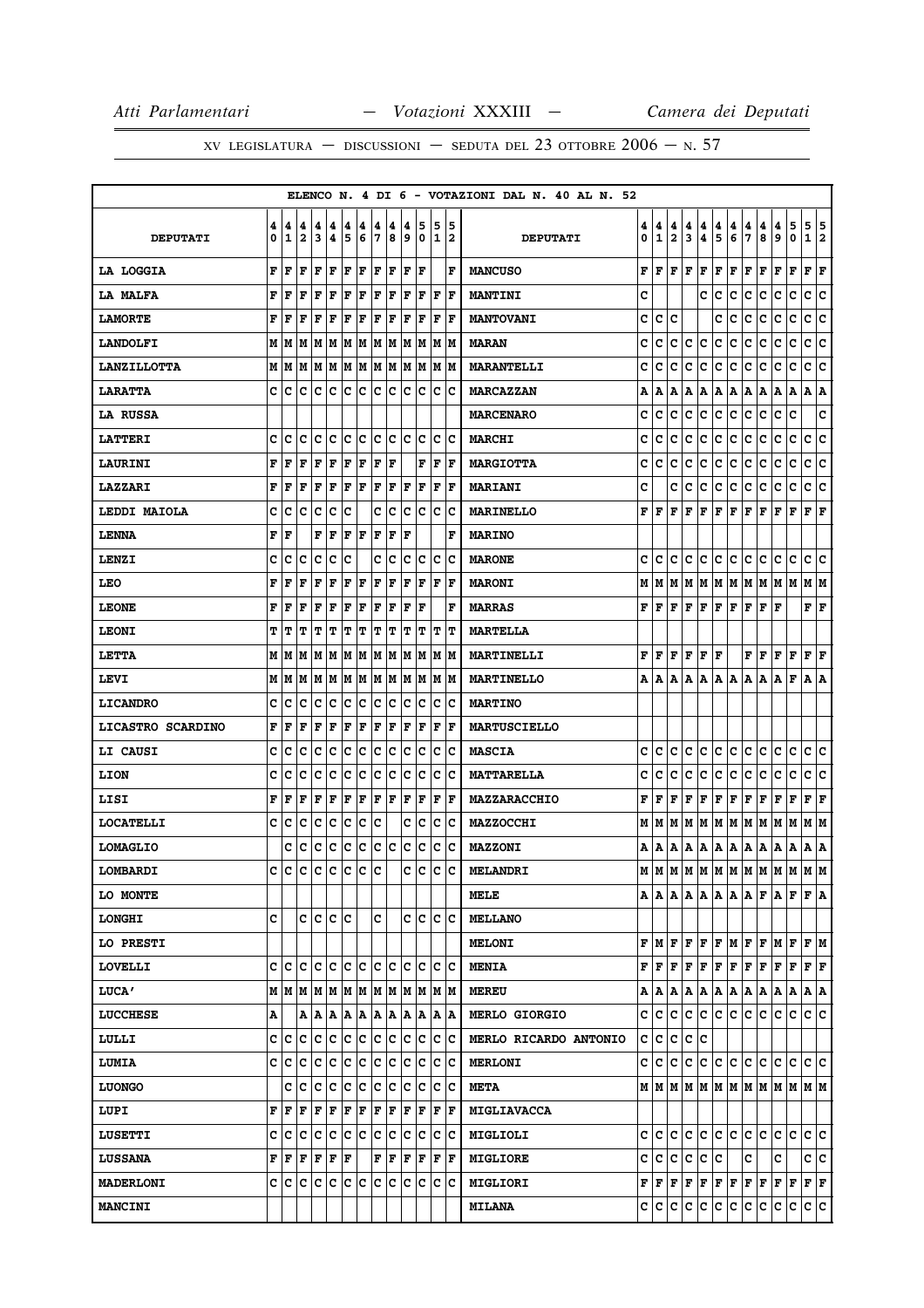|                     |        |        |                              |        |         |        |        |        |                                   |        |                                       |         |                      | ELENCO N. 4 DI 6 - VOTAZIONI DAL N. 40 AL N. 52 |        |                   |                   |        |                                                         |        |                                                                                                             |        |                                                                                                                                                                                            |                                                                                                                                                                              |              |                           |    |
|---------------------|--------|--------|------------------------------|--------|---------|--------|--------|--------|-----------------------------------|--------|---------------------------------------|---------|----------------------|-------------------------------------------------|--------|-------------------|-------------------|--------|---------------------------------------------------------|--------|-------------------------------------------------------------------------------------------------------------|--------|--------------------------------------------------------------------------------------------------------------------------------------------------------------------------------------------|------------------------------------------------------------------------------------------------------------------------------------------------------------------------------|--------------|---------------------------|----|
| <b>DEPUTATI</b>     | 4<br>0 | 4<br>1 | 4<br>$\overline{\mathbf{2}}$ | 4<br>3 | 4<br>4  | 4<br>5 | 4<br>6 | 4<br>7 | 4<br>8                            | 4<br>و | 5<br>0                                | 5<br>11 | 15<br>12             | <b>DEPUTATI</b>                                 | 4<br>0 | 4<br>$\mathbf{1}$ | 4<br>$\mathbf{2}$ | 4<br>3 | 4<br>4                                                  | 4<br>5 | 4<br>6                                                                                                      | 4<br>7 | 4<br>8                                                                                                                                                                                     | 4<br>9                                                                                                                                                                       | 5<br>0       | 5<br>1 2                  | 5  |
| LA LOGGIA           |        | F F    | F                            | lF.    | ΙF      | F F    |        | F F    |                                   | F      | ١F                                    |         | ΙF                   | <b>MANCUSO</b>                                  | F      |                   |                   |        | $\bf  F F F F F$                                        |        |                                                                                                             | F F    |                                                                                                                                                                                            | F                                                                                                                                                                            | F            | F                         | F  |
| <b>LA MALFA</b>     | F      | F      | F                            | lF     | ΙF      | F      | F      | F      | F                                 | ΙF     | ١F                                    | ΙF      | lF                   | <b>MANTINI</b>                                  | C      |                   |                   |        | c                                                       | ١c     | c                                                                                                           | c      | c                                                                                                                                                                                          | c                                                                                                                                                                            | $\mathbf{C}$ | c                         | c  |
| <b>LAMORTE</b>      | F      | ١F     | ΙF                           | ١F     | F       | F      | F      | F      | F                                 | ΙF     | F                                     | F       | ١F                   | <b>MANTOVANI</b>                                | c      | c                 | c                 |        |                                                         | c      | Ιc                                                                                                          | c      | c                                                                                                                                                                                          | с                                                                                                                                                                            | c            | с                         | c  |
| <b>LANDOLFI</b>     |        | MIM    |                              |        |         |        |        |        |                                   |        | M  M  M  M  M  M  M  M  M  M  M       |         |                      | <b>MARAN</b>                                    | c      | c                 | c                 | IС     | c                                                       | IС     | c                                                                                                           | c      | c                                                                                                                                                                                          | с                                                                                                                                                                            | c            | c                         | c  |
| <b>LANZILLOTTA</b>  |        | M   M  |                              |        |         |        |        |        |                                   |        | M M M M M M M M M M M                 |         |                      | <b>MARANTELLI</b>                               | c      | c                 | c                 | с      | lc.                                                     | c      | IС                                                                                                          | c      | c                                                                                                                                                                                          | с                                                                                                                                                                            | с            | c                         | c  |
| <b>LARATTA</b>      |        | c c    |                              |        |         |        |        |        |                                   |        | c  c  c  c  c  c  c  c  c             |         | IC IC                | <b>MARCAZZAN</b>                                | A      | A                 |                   |        |                                                         |        | A   A   A   A   A   A   A                                                                                   |        |                                                                                                                                                                                            | A                                                                                                                                                                            | A            | A  A                      |    |
| LA RUSSA            |        |        |                              |        |         |        |        |        |                                   |        |                                       |         |                      | <b>MARCENARO</b>                                | c      | c                 | c                 | с      | IС                                                      | IС     | Iс                                                                                                          | c      | c                                                                                                                                                                                          | с                                                                                                                                                                            | c            |                           | c  |
| <b>LATTERI</b>      | c      | c      | c                            |        | c c     | c c    |        |        | c c                               |        | c c                                   | lc.     | Ιc                   | <b>MARCHI</b>                                   | c      | c                 | c                 | c      | c                                                       | c      | c                                                                                                           | c      | c                                                                                                                                                                                          | c                                                                                                                                                                            | c            | c                         | c  |
| <b>LAURINI</b>      | F      | ١F     | F                            | F      | ΙF      | F      | F      | F      | ١F                                |        | F                                     | F       | ١F                   | <b>MARGIOTTA</b>                                | c      | с                 | с                 | c      | c                                                       | ∣c.    | c                                                                                                           | с      | c                                                                                                                                                                                          | c                                                                                                                                                                            | c            | c                         | c  |
| <b>LAZZARI</b>      | F      | l F    | F                            | lF     | F       | F      | F      | F      | F                                 | F      | F                                     | F       | F                    | <b>MARIANI</b>                                  | c      |                   | c                 | Iс     | lC.                                                     | IC.    | lc.                                                                                                         | c      | Iс                                                                                                                                                                                         | c                                                                                                                                                                            | c            | c                         | ΙC |
| <b>LEDDI MAIOLA</b> | c      | с      | c                            | c      | c       | Iс     |        |        | C C                               |        | c c                                   |         | c c                  | <b>MARINELLO</b>                                | F      | lF.               | lF.               | lF.    | lF.                                                     | F F    |                                                                                                             | F F    |                                                                                                                                                                                            | F                                                                                                                                                                            | F            | $\bf{F}$ $\bf{F}$         |    |
| <b>LENNA</b>        | F      | lF     |                              | F      | ΙF      | F      | ١F     | F      | F                                 | ΙF     |                                       |         | F                    | <b>MARINO</b>                                   |        |                   |                   |        |                                                         |        |                                                                                                             |        |                                                                                                                                                                                            |                                                                                                                                                                              |              |                           |    |
| <b>LENZI</b>        | c      | с      | с                            | с      | Ιc      | Ιc     |        | c      | Iс                                | Iс     | Ιc                                    | ΙC      | ΙC                   | <b>MARONE</b>                                   | с      | C                 | IC.               | lC.    | IC.                                                     | c c    |                                                                                                             | IC.    | lc.                                                                                                                                                                                        | IС                                                                                                                                                                           | с            | c                         | ΙC |
| LEO                 | F      | F      | l F                          | F      | l F     | F      | F      | F      | lF                                | l F    | F                                     | F       | lF                   | <b>MARONI</b>                                   | М      |                   |                   |        |                                                         |        | M   M   M   M   M   M   M   M                                                                               |        |                                                                                                                                                                                            | MM                                                                                                                                                                           |              | MM                        |    |
| <b>LEONE</b>        | F      | l F    | F                            | lF     | F       | F      | F      | F      | F                                 | F      | lF                                    |         | l F                  | <b>MARRAS</b>                                   |        |                   |                   |        |                                                         |        | ${\bf F}\, \,{\bf F}\, \,{\bf F}\, \,{\bf F}\, \,{\bf F}\, \,{\bf F}\, \,{\bf F}\, \,{\bf F}\, \,{\bf F}\,$ |        |                                                                                                                                                                                            | ١F                                                                                                                                                                           |              | $\mathbf{F}   \mathbf{F}$ |    |
| <b>LEONI</b>        | т      | т      | ΙT                           | T      | IΤ      | IΤ     | IΤ     | IΤ     | IΤ                                | ΙT     | IΤ                                    | IΤ      | lΤ                   | <b>MARTELLA</b>                                 |        |                   |                   |        |                                                         |        |                                                                                                             |        |                                                                                                                                                                                            |                                                                                                                                                                              |              |                           |    |
| <b>LETTA</b>        |        |        |                              |        |         |        |        |        | M   M   M   M   M   M   M   M   M |        | IM IM                                 |         | IM IM                | MARTINELLI                                      |        |                   |                   |        | ${\bf F}$ $\bf [F]$ $\bf F$ $\bf [F]$ $\bf F$ $\bf [F]$ |        |                                                                                                             |        | F F                                                                                                                                                                                        | F                                                                                                                                                                            | F            | F                         | ΙF |
| LEVI                |        |        |                              |        |         |        |        |        |                                   |        |                                       |         |                      | MARTINELLO                                      | A      | ۱A.               |                   |        | A   A   A   A   A                                       |        |                                                                                                             | A   A  |                                                                                                                                                                                            | l A                                                                                                                                                                          | F            | A  A                      |    |
| <b>LICANDRO</b>     | c      | c      | c                            | c      | Ιc      | Iс     | Ιc     | lc.    | Iс                                | Iс     | Ιc                                    | Iс      | ΙC                   | <b>MARTINO</b>                                  |        |                   |                   |        |                                                         |        |                                                                                                             |        |                                                                                                                                                                                            |                                                                                                                                                                              |              |                           |    |
| LICASTRO SCARDINO   |        | FF     | F                            | F      | F       | F      | F      | F      | F                                 | F      | F                                     | F       | ΙF                   | <b>MARTUSCIELLO</b>                             |        |                   |                   |        |                                                         |        |                                                                                                             |        |                                                                                                                                                                                            |                                                                                                                                                                              |              |                           |    |
| <b>LI CAUSI</b>     | c      | c      | C                            | Iс     | c       | c      | c      | c      | c                                 | c      | Iс                                    | c       | c                    | <b>MASCIA</b>                                   | с      | с                 | c                 | c      | С                                                       | с      | IC.                                                                                                         | с      | c                                                                                                                                                                                          | с                                                                                                                                                                            | с            | c                         | c  |
| <b>LION</b>         | c      | C      | c                            | lc     | lc      | c      | c      | c      | c                                 | lc     | Iс                                    | Iс      | ΙC                   | <b>MATTARELLA</b>                               | c      | с                 | c                 | с      | lc.                                                     | ∣c.    | lc.                                                                                                         | с      | lc.                                                                                                                                                                                        | c                                                                                                                                                                            | c            | c c                       |    |
| LISI                | F      | F      | F                            | F      | F       | F      | ΙF     | F      | F                                 | F      | F                                     | F       | ١F                   | MAZZARACCHIO                                    | F      | ١F                | F                 |        | F F F F                                                 |        |                                                                                                             | F F    |                                                                                                                                                                                            | F                                                                                                                                                                            | F            | F                         | F  |
| <b>LOCATELLI</b>    | c      | с      | Iс                           | Ιc     | Ιc      | Ιc     | ΙC     | Ιc     |                                   | c      | Iс                                    | ΙC      | ΙC                   | <b>MAZZOCCHI</b>                                | М      |                   |                   |        |                                                         |        |                                                                                                             |        | M   M   M   M   M   M   M   M   M                                                                                                                                                          |                                                                                                                                                                              | M            | M  M                      |    |
| <b>LOMAGLIO</b>     |        | c      | c c c c c                    |        |         |        |        |        | c c                               |        | c c                                   |         | c c                  | <b>MAZZONI</b>                                  | A      |                   |                   |        |                                                         |        |                                                                                                             |        |                                                                                                                                                                                            |                                                                                                                                                                              |              | A  A                      |    |
| LOMBARDI            | c      | Iс     | c                            | Ιc     | ١c      | Iс     | lc.    | lc     |                                   | c      | Ιc                                    | Ιc      | ١c                   | <b>MELANDRI</b>                                 |        |                   |                   |        |                                                         |        |                                                                                                             |        |                                                                                                                                                                                            | $M$   $M$   $M$   $M$   $M$   $M$   $M$   $M$   $M$   $M$                                                                                                                    |              | M M                       |    |
| LO MONTE            |        |        |                              |        |         |        |        |        |                                   |        |                                       |         |                      | MELE                                            |        |                   |                   |        |                                                         |        |                                                                                                             |        |                                                                                                                                                                                            |                                                                                                                                                                              |              |                           |    |
| <b>LONGHI</b>       | C      |        |                              |        | c c c c |        |        | c      |                                   |        | c c                                   |         | lc lc                | <b>MELLANO</b>                                  |        |                   |                   |        |                                                         |        |                                                                                                             |        |                                                                                                                                                                                            |                                                                                                                                                                              |              |                           |    |
| LO PRESTI           |        |        |                              |        |         |        |        |        |                                   |        |                                       |         |                      | <b>MELONI</b>                                   |        |                   |                   |        |                                                         |        |                                                                                                             |        | $\mathbf{F} \left  \mathbf{M} \right  \mathbf{F} \left  \mathbf{F} \right  \mathbf{F} \left  \mathbf{F} \right  \mathbf{M} \left  \mathbf{F} \right  \mathbf{F} \left  \mathbf{M} \right.$ |                                                                                                                                                                              | lF.          | F M                       |    |
| <b>LOVELLI</b>      |        |        |                              |        |         |        |        |        |                                   |        |                                       |         |                      | <b>MENIA</b>                                    |        |                   |                   |        |                                                         |        | ${\bf F}\, \,{\bf F}\, \,{\bf F}\, \,{\bf F}\, \,{\bf F}\, \,{\bf F}\, \,{\bf F}\, \,{\bf F}\, \,{\bf F}\,$ |        |                                                                                                                                                                                            | F                                                                                                                                                                            | F            | $ {\bf F}  {\bf F} $      |    |
| <b>LUCA'</b>        |        |        |                              |        |         |        |        |        |                                   |        | M   M   M   M   M   M   M   M   M   M |         | IM IM                | <b>MEREU</b>                                    |        |                   |                   |        |                                                         |        | $A  A A A A A A A A A$                                                                                      |        |                                                                                                                                                                                            | A                                                                                                                                                                            | A            | A A                       |    |
| <b>LUCCHESE</b>     | Α      |        |                              |        |         |        |        |        |                                   |        | A   A   A   A   A   A   A   A         |         | A  A                 | <b>MERLO GIORGIO</b>                            | c      | c c               |                   |        |                                                         |        | c c c c c c                                                                                                 |        |                                                                                                                                                                                            | с                                                                                                                                                                            | lc.          | c c                       |    |
| LULLI               |        | c  c   | lc.                          | Iс     | c       | c      | ∣c     | c      | Iс                                | Ιc     | Ιc                                    |         | c  c                 | MERLO RICARDO ANTONIO                           | c      | ∣c.               | C                 |        | c c                                                     |        |                                                                                                             |        |                                                                                                                                                                                            |                                                                                                                                                                              |              |                           |    |
| <b>LUMIA</b>        | c      | c c    |                              |        | c c c c |        |        |        | c c                               |        | c c                                   |         | $ {\bf C} {\bf C}$   | <b>MERLONI</b>                                  | c      |                   |                   |        |                                                         |        | c c c c c c c c c                                                                                           |        |                                                                                                                                                                                            | c                                                                                                                                                                            |              | c c c                     |    |
| <b>LUONGO</b>       |        | c      | lc                           | Ιc     | c       | c      | ∣c     | ∣c     | ∣c                                | lc.    | Ιc                                    | ΙC      | Ιc                   | <b>META</b>                                     |        |                   |                   |        |                                                         |        |                                                                                                             |        |                                                                                                                                                                                            |                                                                                                                                                                              |              |                           |    |
| LUPI                |        | FF     | ١F                           | F      | ΙF      | F      | ŀF     | IF.    | F                                 | F      | F                                     |         | $ {\bf F}  {\bf F} $ | MIGLIAVACCA                                     |        |                   |                   |        |                                                         |        |                                                                                                             |        |                                                                                                                                                                                            |                                                                                                                                                                              |              |                           |    |
| <b>LUSETTI</b>      |        | c c    |                              |        |         |        |        |        |                                   |        | c c c c c c c c c c                   |         | C C                  | MIGLIOLI                                        |        |                   |                   |        |                                                         |        |                                                                                                             |        |                                                                                                                                                                                            | c c c c c c c c c c c c c c                                                                                                                                                  |              | c c                       |    |
| <b>LUSSANA</b>      |        | FF     | F                            |        | F F F   |        |        |        | F F                               |        | $ {\bf F}  {\bf F} $                  | F       | ١F                   | <b>MIGLIORE</b>                                 | c      | lc.               | c                 |        | c c c                                                   |        |                                                                                                             | c      |                                                                                                                                                                                            | c                                                                                                                                                                            |              | c c                       |    |
| <b>MADERLONI</b>    |        |        |                              |        |         |        |        |        |                                   |        |                                       |         |                      | <b>MIGLIORI</b>                                 |        |                   |                   |        |                                                         |        |                                                                                                             |        |                                                                                                                                                                                            | ${\bf F} \,   \, {\bf F} \,   \, {\bf F} \,   \, {\bf F} \,   \, {\bf F} \,   \, {\bf F} \,   \, {\bf F} \,   \, {\bf F} \,   \, {\bf F} \,   \, {\bf F} \,   \, {\bf F} \,$ |              | $ {\bf F}  {\bf F} $      |    |
| <b>MANCINI</b>      |        |        |                              |        |         |        |        |        |                                   |        |                                       |         |                      | <b>MILANA</b>                                   |        |                   |                   |        | C C C C C C C                                           |        |                                                                                                             | c c    |                                                                                                                                                                                            | C                                                                                                                                                                            | с            | c c                       |    |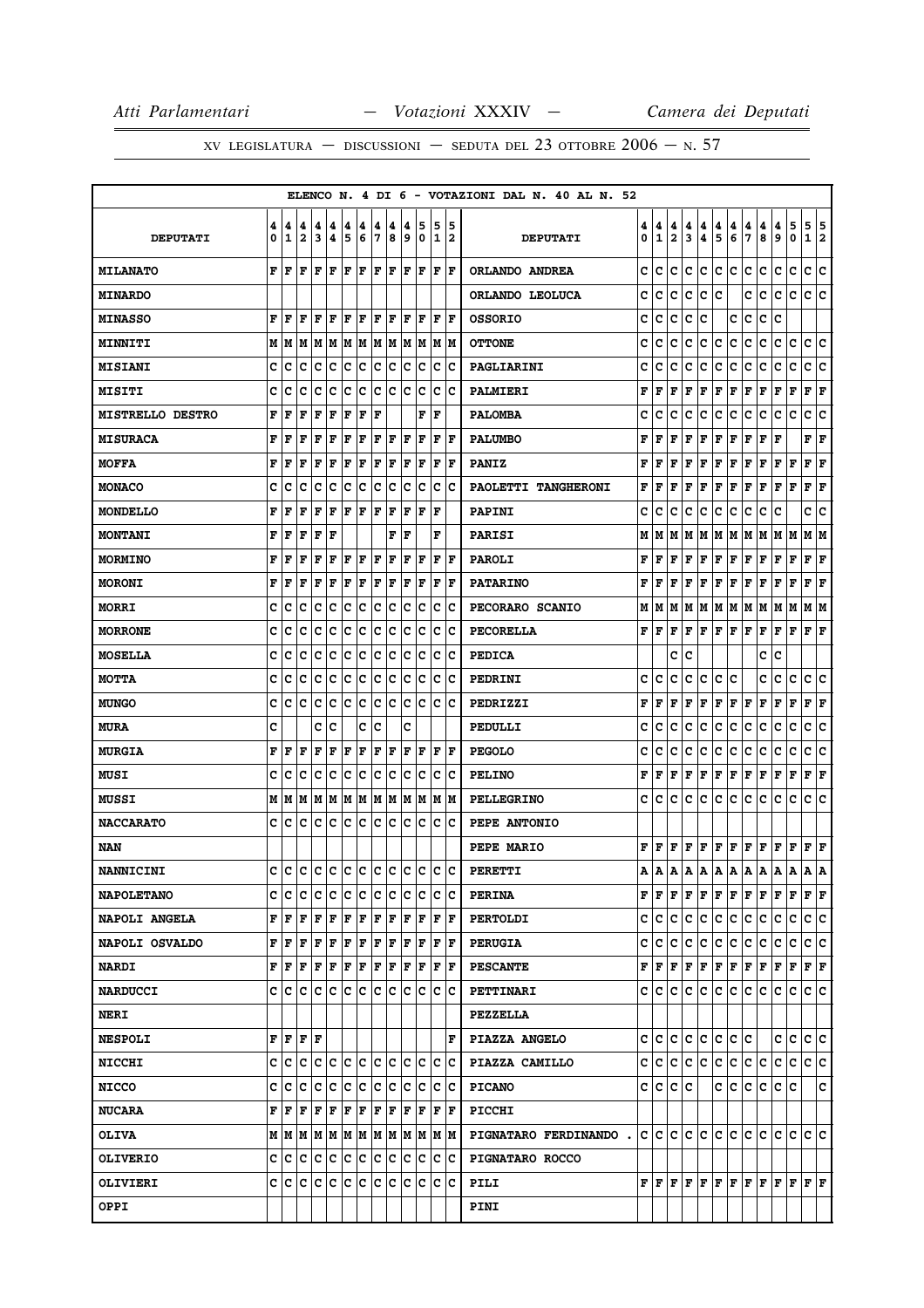|                         |        |                                           |                              |        |         |                      |        |        |        |        |                                    |        |                      |    | ELENCO N. 4 DI 6 - VOTAZIONI DAL N. 40 AL N. 52 |        |        |                   |        |                                                                                                                                                 |        |        |        |        |        |                                                                                                                                                                         |                        |         |
|-------------------------|--------|-------------------------------------------|------------------------------|--------|---------|----------------------|--------|--------|--------|--------|------------------------------------|--------|----------------------|----|-------------------------------------------------|--------|--------|-------------------|--------|-------------------------------------------------------------------------------------------------------------------------------------------------|--------|--------|--------|--------|--------|-------------------------------------------------------------------------------------------------------------------------------------------------------------------------|------------------------|---------|
| <b>DEPUTATI</b>         | 4<br>0 | 4<br>1                                    | 4<br>$\overline{\mathbf{2}}$ | 4<br>3 | 4<br>4  | 4<br>5               | 4<br>6 | 4<br>7 | 4<br>8 | 4<br>و | 5<br>0                             | 5<br>1 | 12                   | 15 | <b>DEPUTATI</b>                                 | 4<br>0 | 4<br>1 | 4<br>$\mathbf{2}$ | 4<br>3 | 4<br>4                                                                                                                                          | 4<br>5 | 4<br>6 | 4<br>7 | 4<br>8 | 4<br>9 | 5<br>0                                                                                                                                                                  | 5<br>1                 | 5<br> 2 |
| <b>MILANATO</b>         |        | F F                                       | F                            | l F    | ١F      | lF.                  | ١F     | F  F   |        |        | F  F                               |        | $ {\bf F}  {\bf F} $ |    | ORLANDO ANDREA                                  | c      | с      | c                 | с      | IC.                                                                                                                                             | c c    |        | с      | c      | с      | c                                                                                                                                                                       | c                      | c       |
| <b>MINARDO</b>          |        |                                           |                              |        |         |                      |        |        |        |        |                                    |        |                      |    | ORLANDO LEOLUCA                                 | c      | c      | c                 | c      | Iс                                                                                                                                              | c      |        | c      | c      | с      | c                                                                                                                                                                       | c                      | ١c      |
| <b>MINASSO</b>          | F      | ١F                                        | ΙF                           | F      | ΙF      | l F                  | F      | l F    | l F    | ΙF     | l F                                | F      | ١F                   |    | <b>OSSORIO</b>                                  | c      | c      | c                 | c      | с                                                                                                                                               |        | с      | c      | c      | c      |                                                                                                                                                                         |                        |         |
| <b>MINNITI</b>          |        | M   M                                     |                              |        |         |                      |        |        |        |        | M  M  M  M  M  M  M  M  M  M  M    |        |                      |    | <b>OTTONE</b>                                   | c      | c      | c                 | с      | с                                                                                                                                               | IС     | c      | c      | c      | с      | c                                                                                                                                                                       | c                      | c       |
| <b>MISIANI</b>          | c      | c                                         | c                            | Iс     | Ιc      | Ιc                   | ΙC     | Ιc     | Iс     | Ιc     | ΙC                                 | ΙC     | ΙC                   |    | PAGLIARINI                                      | c      | c      | c                 | c      | lc.                                                                                                                                             | c      | IС     | c      | c      | с      | c                                                                                                                                                                       | с                      | c       |
| <b>MISITI</b>           | c      | c                                         | c                            | Iс     | Iс      | Iс                   | ΙC     | lc.    | Iс     | Ιc     | Ιc                                 | c      | ΙC                   |    | PALMIERI                                        | F      | F      | ΙF                | l F    | F                                                                                                                                               | F      | F      | F      | F      | F      | F                                                                                                                                                                       | F                      | F       |
| <b>MISTRELLO DESTRO</b> | F      | F                                         | F                            | F      | F       | F                    | ΙF     | l F    |        |        | F                                  | l F    |                      |    | <b>PALOMBA</b>                                  | c      | c      | c                 | c      | c                                                                                                                                               | c      | c      | с      | с      | с      | c                                                                                                                                                                       | с                      | c       |
| <b>MISURACA</b>         | F      | F                                         | F                            | F      | F       | F                    | F      | F      | F      | F      | F                                  | F      | lF                   |    | <b>PALUMBO</b>                                  | F      | F      | F                 | F      | F                                                                                                                                               | F      | F      | F      | F      | F      |                                                                                                                                                                         | F                      | F       |
| <b>MOFFA</b>            | F      | F                                         | F                            | F      | F       | F                    | F      | F      | F      | F      | F                                  | F      | lF                   |    | <b>PANIZ</b>                                    | F      | F      | F                 | F      | F                                                                                                                                               | F F    |        | F      | F      | F      | F                                                                                                                                                                       | F                      | F       |
| <b>MONACO</b>           | c      | c                                         | c                            | Ιc     | c       | Iс                   | Ιc     | Iс     | Iс     | Iс     | Ιc                                 | Iс     | ١c                   |    | PAOLETTI TANGHERONI                             | F      | F      | F                 | l F    | l F                                                                                                                                             | l F    | F      | F      | F      | F      | F                                                                                                                                                                       | F                      | F       |
| MONDELLO                | F      | F                                         | F                            | F      | F       | F                    | F      | F      | F      | F      | l F                                | ΙF     |                      |    | <b>PAPINI</b>                                   | c      | c      | c                 | c      | IС                                                                                                                                              | IС     | IС     | c      | с      | c      |                                                                                                                                                                         | c                      | c       |
| <b>MONTANI</b>          | F      | F                                         | l F                          | F      | l F     |                      |        |        | F      | l F    |                                    | F      |                      |    | <b>PARISI</b>                                   | М      | м      | l M               |        | M  M  M  M  M  M  M  M                                                                                                                          |        |        |        |        |        |                                                                                                                                                                         | M  M                   |         |
| <b>MORMINO</b>          | F      | F                                         | F                            | F      | F       | F                    | F      | F      | F      | F      | F                                  | F      | F                    |    | <b>PAROLI</b>                                   | F      | F      | F                 | F      | F                                                                                                                                               | F      | F      | F      | F      | F      | F                                                                                                                                                                       | F                      | F       |
| <b>MORONI</b>           | F      | F                                         | ΙF                           | F      | l F     | lF                   | F      | F      | F      | F      | lF                                 | F      | lF                   |    | <b>PATARINO</b>                                 | F      | F      | ΙF                | l F    | F                                                                                                                                               | F      | F      | F      | F      | F      | F                                                                                                                                                                       | F                      | F       |
| <b>MORRI</b>            | c      | c                                         | c                            | Iс     | Ιc      | Ιc                   | ΙC     | lc.    | Iс     | Iс     | Ιc                                 | Iс     | ΙC                   |    | PECORARO SCANIO                                 | М      |        |                   |        | M  M  M  M  M  M  M  M  M                                                                                                                       |        |        |        |        |        | M                                                                                                                                                                       | M  M                   |         |
| <b>MORRONE</b>          | c      | c                                         | c                            | с      | Iс      | Iс                   | ΙC     | Iс     | Iс     | Iс     | Ιc                                 | ΙC     | ΙC                   |    | PECORELLA                                       | F      | l F    | F                 | F      | F F F                                                                                                                                           |        |        | F      | F      | F      | F                                                                                                                                                                       | ${\bf F} \mid {\bf F}$ |         |
| <b>MOSELLA</b>          | c      | c                                         | c                            | Ιc     | c       | Ιc                   | Ιc     | Iс     | Iс     | Ιc     | Ιc                                 | Ιc     | ΙC                   |    | <b>PEDICA</b>                                   |        |        | c                 | c      |                                                                                                                                                 |        |        |        | c      | c      |                                                                                                                                                                         |                        |         |
| <b>MOTTA</b>            | c      | с                                         | c                            | Iс     | c       | c                    | ∣c     | c      | Iс     | c      | ∣c                                 | IC.    | ΙC                   |    | PEDRINI                                         | c      | c      | c                 | c      | с                                                                                                                                               | lC.    | Ιc     |        | c      | c      | с                                                                                                                                                                       | c                      | c       |
| <b>MUNGO</b>            | c      | c                                         | c                            | c      | c       | Iс                   | Ιc     | c      | Iс     | c      | Iс                                 | Iс     | ΙC                   |    | PEDRIZZI                                        | F      | F      | F                 | F      | F                                                                                                                                               | F      | F      | F      | F      | F      | F                                                                                                                                                                       | F                      | F       |
| <b>MURA</b>             | c      |                                           |                              | c      | Ιc      |                      | c      | Ιc     |        | c      |                                    |        |                      |    | PEDULLI                                         | c      | c      | c                 | c      | IС                                                                                                                                              | c      | Iс     | c      | с      | с      | c                                                                                                                                                                       | с                      | c       |
| <b>MURGIA</b>           | F      | F                                         | l F                          | F      | ΙF      | F                    | ΙF     | ΙF     | F      | ΙF     | l F                                | ΙF     | lF                   |    | <b>PEGOLO</b>                                   | c      | c      | с                 | c      | c                                                                                                                                               | с      | c      | с      | c      | с      | c                                                                                                                                                                       | с                      | c       |
| <b>MUSI</b>             | c      | c                                         | c                            | Iс     | Ιc      | Ιc                   | lc     | Ιc     | Ιc     | Ιc     | Iс                                 | ΙC     | ΙC                   |    | <b>PELINO</b>                                   | F      | ΙF     | F                 | F      | F                                                                                                                                               | F      | F      | F      | F      | F      | F                                                                                                                                                                       | F                      | F       |
| <b>MUSSI</b>            |        |                                           |                              |        |         |                      |        |        |        |        |                                    |        |                      |    | <b>PELLEGRINO</b>                               | c      | с      | IC.               | IC.    | IC.                                                                                                                                             | IC.    | c      | с      | c      | c      | с                                                                                                                                                                       | c                      | ∣c      |
| <b>NACCARATO</b>        | c      | с                                         | c                            | Iс     | Iс      | Ιc                   | ΙC     | Ιc     | Iс     | Ιc     | Ιc                                 | ΙC     | ΙC                   |    | PEPE ANTONIO                                    |        |        |                   |        |                                                                                                                                                 |        |        |        |        |        |                                                                                                                                                                         |                        |         |
| NAN                     |        |                                           |                              |        |         |                      |        |        |        |        |                                    |        |                      |    | PEPE MARIO                                      | F      |        |                   |        | F   F   F   F   F   F   F   F   F                                                                                                               |        |        |        |        |        |                                                                                                                                                                         | F F                    |         |
| <b>NANNICINI</b>        | c      | c                                         | c                            |        | c c c c |                      |        |        | c c    |        | lc lc                              | Ιc     | ١c                   |    | <b>PERETTI</b>                                  | Α      | Α      | A                 | A      | A                                                                                                                                               | A      | A      | A      | A      | Α      | А                                                                                                                                                                       | Α                      | Α       |
| <b>NAPOLETANO</b>       | c      | с                                         | lc.                          | с      | с       | c                    | Iс     | IC.    | Iс     | Ιc     | ∣c                                 |        | c c                  |    | <b>PERINA</b>                                   |        |        |                   |        |                                                                                                                                                 |        |        |        |        |        | ${\bf F}\, \,{\bf F}\, \,{\bf F}\, \,{\bf F}\, \,{\bf F}\, \,{\bf F}\, \,{\bf F}\, \,{\bf F}\, \,{\bf F}\, \,{\bf F}\, \,{\bf F}\, \,{\bf F}\, \,{\bf F}\, \,{\bf F}\,$ |                        |         |
| NAPOLI ANGELA           |        | FF                                        | F                            | ١F     | ΙF      | F                    | F      | lF.    | ١F     |        | IF IF                              | F      | ١F                   |    | <b>PERTOLDI</b>                                 |        |        |                   |        | C C C C C C C C C                                                                                                                               |        |        |        |        | с      | c                                                                                                                                                                       | c c                    |         |
| NAPOLI OSVALDO          |        | ${\bf F} \,   \, {\bf F} \,   \, {\bf F}$ |                              | F F    |         | $ {\bf F}  {\bf F} $ |        | F F    |        |        | F  F                               |        | $ {\bf F}  {\bf F} $ |    | <b>PERUGIA</b>                                  | c      |        |                   |        | c  c  c  c  c  c  c  c                                                                                                                          |        |        |        |        | с      | c                                                                                                                                                                       | c c                    |         |
| <b>NARDI</b>            |        | FF                                        |                              |        |         |                      |        |        |        |        | F F F F F F F F F F F F            |        |                      |    | <b>PESCANTE</b>                                 |        |        |                   |        | ${\bf F}\, \,{\bf F}\, \,{\bf F}\, \,{\bf F}\, \,{\bf F}\, \,{\bf F}\, \,{\bf F}\, \,{\bf F}\, \,{\bf F}\, \,{\bf F}\, \,{\bf F}\, \,{\bf F}\,$ |        |        |        |        |        |                                                                                                                                                                         | F F                    |         |
| <b>NARDUCCI</b>         |        |                                           |                              |        |         |                      |        |        |        |        | c  c  c  c  c  c  c  c  c  c  c  c |        | c c                  |    | PETTINARI                                       |        | C C    | lc.               |        | c  c  c  c  c  c                                                                                                                                |        |        |        |        | IС     | lC.                                                                                                                                                                     | c c                    |         |
| <b>NERI</b>             |        |                                           |                              |        |         |                      |        |        |        |        |                                    |        |                      |    | <b>PEZZELLA</b>                                 |        |        |                   |        |                                                                                                                                                 |        |        |        |        |        |                                                                                                                                                                         |                        |         |
| <b>NESPOLI</b>          |        | FF                                        | F F                          |        |         |                      |        |        |        |        |                                    |        |                      | ΙF | PIAZZA ANGELO                                   | c      | IC.    | IC.               | lc.    | icicicic                                                                                                                                        |        |        |        |        | c      | с                                                                                                                                                                       | c                      | ΙC      |
| <b>NICCHI</b>           |        |                                           |                              |        |         |                      |        |        |        |        |                                    |        |                      |    | PIAZZA CAMILLO                                  | c      |        |                   |        | c c c c c c c c c                                                                                                                               |        |        |        |        | c c    |                                                                                                                                                                         | c c                    |         |
| <b>NICCO</b>            |        | c  c  c                                   |                              |        | c c c c |                      |        | c c    |        |        | c c                                | IC.    | ΙC                   |    | <b>PICANO</b>                                   | c      | c c c  |                   |        |                                                                                                                                                 |        | c c    | c c    |        | с      | Iс                                                                                                                                                                      |                        | C       |
| <b>NUCARA</b>           |        | ${\bf F}$ $\bf F$ $\bf F$                 |                              | F F    |         | F F                  |        | F F    |        |        | F F                                |        | F  F                 |    | <b>PICCHI</b>                                   |        |        |                   |        |                                                                                                                                                 |        |        |        |        |        |                                                                                                                                                                         |                        |         |
| <b>OLIVA</b>            |        |                                           |                              |        |         |                      |        |        |        |        |                                    |        |                      |    | PIGNATARO FERDINANDO.                           |        |        |                   |        |                                                                                                                                                 |        |        |        |        |        |                                                                                                                                                                         |                        |         |
| <b>OLIVERIO</b>         |        |                                           |                              |        |         |                      |        |        |        |        |                                    |        |                      |    | PIGNATARO ROCCO                                 |        |        |                   |        |                                                                                                                                                 |        |        |        |        |        |                                                                                                                                                                         |                        |         |
| <b>OLIVIERI</b>         |        |                                           |                              |        |         |                      |        |        |        |        |                                    |        |                      |    | PILI                                            |        |        |                   |        |                                                                                                                                                 |        |        |        |        |        | ${\bf F}[{\bf F}[{\bf F}] {\bf F}[{\bf F}] {\bf F}[{\bf F}] {\bf F}[{\bf F}] {\bf F}[{\bf F}] {\bf F}]$                                                                 |                        |         |
| OPPI                    |        |                                           |                              |        |         |                      |        |        |        |        |                                    |        |                      |    | PINI                                            |        |        |                   |        |                                                                                                                                                 |        |        |        |        |        |                                                                                                                                                                         |                        |         |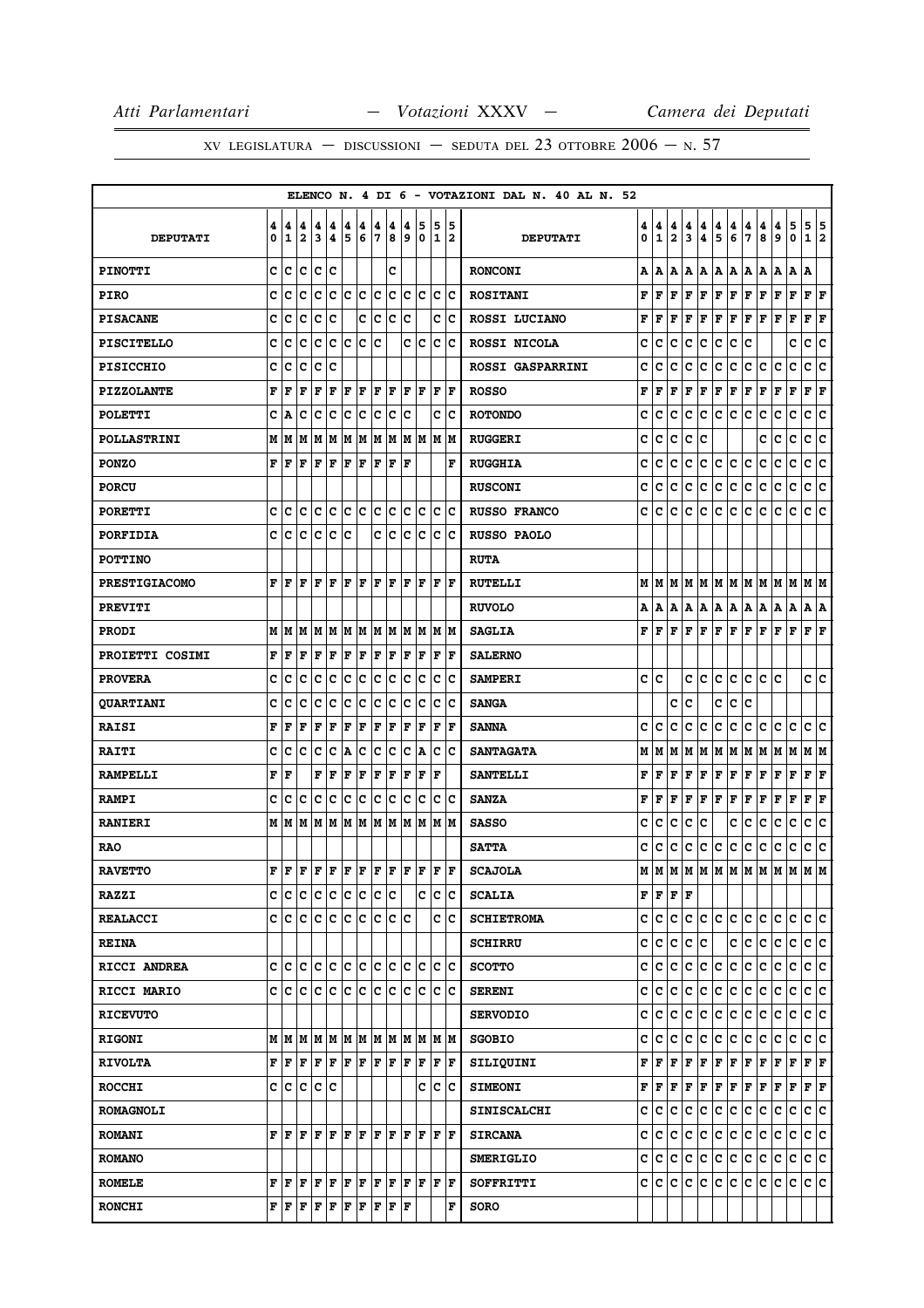|                      |        |                                                        |                              |                              |        |        |        |                      |        |        |                  |         |         | ELENCO N. 4 DI 6 - VOTAZIONI DAL N. 40 AL N. 52 |        |                                   |                              |              |        |             |                     |        |                              |        |              |                      |     |
|----------------------|--------|--------------------------------------------------------|------------------------------|------------------------------|--------|--------|--------|----------------------|--------|--------|------------------|---------|---------|-------------------------------------------------|--------|-----------------------------------|------------------------------|--------------|--------|-------------|---------------------|--------|------------------------------|--------|--------------|----------------------|-----|
| <b>DEPUTATI</b>      | 4<br>0 | 4<br>1                                                 | 4<br>$\overline{\mathbf{2}}$ | 4<br>$\overline{\mathbf{3}}$ | 4<br>4 | 4<br>5 | 4<br>6 | 4<br>7               | 4<br>8 | 4<br>9 | 5<br>$\mathbf 0$ | 5<br>1  | 15<br>2 | <b>DEPUTATI</b>                                 | 4<br>0 | 4<br>1                            | 4<br>$\overline{\mathbf{2}}$ | 4<br>3       | 4<br>4 | 4<br>5      | 4<br>6              | 4<br>7 | 4<br>8                       | 4<br>9 | 5<br>0       | 5 5<br>$\mathbf{1}$  | 2   |
| <b>PINOTTI</b>       | C      | c                                                      | lc.                          | c                            | lc     |        |        |                      | C      |        |                  |         |         | <b>RONCONI</b>                                  | А      | A                                 | A                            | A            | A      | A   A       |                     | A      | A                            | A      | ΙA.          | A                    |     |
| <b>PIRO</b>          | C      | c                                                      | c                            | c                            | c      | c      | c      | c                    | c      | c      | lc.              | c       | Ιc      | <b>ROSITANI</b>                                 | F      | F                                 | F                            | F            | F      | $\mathbf F$ | F                   | F      | F                            | F      | F            | F F                  |     |
| <b>PISACANE</b>      | c      | с                                                      | C                            | Iс                           | c      |        | C      | c                    | с      | C      |                  | C       | Ιc      | ROSSI LUCIANO                                   | F      | F                                 | F                            | F            | F      | $\mathbf F$ | F                   | F      | F                            | F      | F            | F                    | F   |
| <b>PISCITELLO</b>    | c      | c                                                      | c                            | c                            | lc.    | lc.    | lc.    | c                    |        | C      | c                | c       | Ιc      | ROSSI NICOLA                                    | c      | c                                 | c                            | c            | c      | c           | c                   | c      |                              |        | с            | c                    | lc. |
| <b>PISICCHIO</b>     | c      | c                                                      | c                            | c                            | c      |        |        |                      |        |        |                  |         |         | <b>ROSSI GASPARRINI</b>                         | c      | c                                 | c                            | c            | с      | с           | c                   | с      | c                            | с      | c            | c                    | Ιc  |
| <b>PIZZOLANTE</b>    | F      | F                                                      | F                            | F                            | F      | F      | l F    | F                    | F      | l F    | lF.              | l F     | lF      | <b>ROSSO</b>                                    | F      | F                                 | F                            | F            | F      | F           | F                   | F      | F                            | F      | F            | F F                  |     |
| <b>POLETTI</b>       | C      | Α                                                      | c                            | c                            | C      | c      | c      | c                    | c      | C      |                  | c       | c       | <b>ROTONDO</b>                                  | c      | c                                 | c                            | c            | с      | c           | с                   | с      | c                            | c      | c            | c                    | ∣c  |
| <b>POLLASTRINI</b>   | М      | M                                                      | M                            | M                            | M      | M      | M      | M                    | M      | M      | M                | M       | M       | <b>RUGGERI</b>                                  | c      | C                                 | C                            | C            | C      |             |                     |        | C                            | c      | $\mathbf{C}$ | c                    | c   |
| <b>PONZO</b>         | F      | F                                                      | F                            | F                            | l F    | F      | F      | F                    | F      | ΙF     |                  |         | F       | <b>RUGGHIA</b>                                  | c      | c                                 | c                            | c            | c      | c           | c                   | c      | C                            | c      | c            | с                    | lc. |
| <b>PORCU</b>         |        |                                                        |                              |                              |        |        |        |                      |        |        |                  |         |         | <b>RUSCONI</b>                                  | c      | c                                 | c                            | C            | c      | c           | c                   | c      | c                            | c      | c            | c                    | c   |
| <b>PORETTI</b>       | c      | lc                                                     | lc.                          | lc lc                        |        | c c    |        | c                    | c      | lc.    | lc.              |         | lc Ic   | <b>RUSSO FRANCO</b>                             | c      | c                                 | c                            | с            | c      | с           | c                   | c      | c                            | c      | lc.          | c c                  |     |
| <b>PORFIDIA</b>      | c      | c                                                      | c                            | c                            | с      | Ιc     |        | c                    | с      | c      | с                | c       | Ιc      | RUSSO PAOLO                                     |        |                                   |                              |              |        |             |                     |        |                              |        |              |                      |     |
| <b>POTTINO</b>       |        |                                                        |                              |                              |        |        |        |                      |        |        |                  |         |         | <b>RUTA</b>                                     |        |                                   |                              |              |        |             |                     |        |                              |        |              |                      |     |
| <b>PRESTIGIACOMO</b> | F      | F                                                      | l F                          | F                            | l F    | F      | l F    | F                    | F      | F      | F                | F       | lF      | <b>RUTELLI</b>                                  | М      |                                   |                              |              |        |             |                     |        | M  M  M  M  M  M  M  M  M  M |        |              | M  M                 |     |
| <b>PREVITI</b>       |        |                                                        |                              |                              |        |        |        |                      |        |        |                  |         |         | <b>RUVOLO</b>                                   | А      | A                                 | A                            | Α            | A      | A           | A                   | A      | A                            | A      | A            | A   A                |     |
| <b>PRODI</b>         | М      | M                                                      | M                            | M                            | M      | M      | M      | lм                   | M      | M      | M                |         | M M     | <b>SAGLIA</b>                                   | F      | F                                 | F                            | $\mathbf{F}$ | F      | $\mathbf F$ | F                   | F      | F                            | F      | F            | F F                  |     |
| PROIETTI COSIMI      | F      | F                                                      | F                            | F                            | F      | F      | l F    | F                    | F      | F      | F                | F       | F       | <b>SALERNO</b>                                  |        |                                   |                              |              |        |             |                     |        |                              |        |              |                      |     |
| <b>PROVERA</b>       | c      | c                                                      | c                            | c                            | lc.    | c      | c      | c                    | c      | lc.    | c                | c       | Ιc      | <b>SAMPERI</b>                                  | c      | ١c                                |                              | c            | lc.    | c           | lc.                 | lc.    | c.                           | lc.    |              | c c                  |     |
| <b>QUARTIANI</b>     | c      | c                                                      | c                            | c                            | c      | c      | c      | c                    | c      | c      | c                | c       | c       | <b>SANGA</b>                                    |        |                                   | с                            | C            |        | c           | с                   | c      |                              |        |              |                      |     |
| <b>RAISI</b>         | F      | F                                                      | l F                          | F                            | F      | F      | F      | F                    | F      | F      | F                | F       | l F     | <b>SANNA</b>                                    | c      | c                                 | c                            | c            | с      | c           | c                   | c      | c                            | с      | с            | c                    | lc. |
| <b>RAITI</b>         | C      | C                                                      | C                            | c                            | C      | A      | C      | C                    | c      | C      | Α                | lc      | lc      | <b>SANTAGATA</b>                                | М      | м                                 | M                            | M            | M      | M           | M                   | M      | M                            | M      | M            | MM                   |     |
| <b>RAMPELLI</b>      | F      | F                                                      |                              | F                            | F      | F      | F      | F                    | F      | F      | F                | l F     |         | <b>SANTELLI</b>                                 | F      | F                                 | F                            | F            | F      | $\mathbf F$ | F                   | F      | F                            | F      | F            | F                    | F   |
| <b>RAMPI</b>         | c      | c                                                      | Iс                           | Iс                           | Ιc     | Ιc     | c      | c                    | c      | c      | c                | c       | Ιc      | <b>SANZA</b>                                    | F      | F                                 | F                            | $\mathbf F$  | F      | F           | F                   | F      | F                            | F      | F            | $ {\bf F}  {\bf F} $ |     |
| <b>RANIERI</b>       |        | MИ                                                     | M                            | M                            | M      | M      | M      | M                    | M      | M      | M                | M       | M       | <b>SASSO</b>                                    | c      | c                                 | c                            | c            | с      |             | c                   | c      | c                            | c      | c            | с                    | c   |
| <b>RAO</b>           |        |                                                        |                              |                              |        |        |        |                      |        |        |                  |         |         | <b>SATTA</b>                                    | c      | c                                 | c                            | с            | c.     | c           | c                   | с      | c                            | c      | c            | С                    | ١c  |
| <b>RAVETTO</b>       | F      | l F                                                    | l F                          | $F$ $F$ $F$ $F$ $F$ $F$      |        |        |        |                      |        | lF.    | lF.              | ΙF      | lF.     | <b>SCAJOLA</b>                                  | М      | M                                 |                              |              |        |             | M  M  M  M  M  M  M |        |                              | M      | M            | lМ                   | M   |
| <b>RAZZI</b>         | c      | c                                                      | ∣c                           | c c                          |        | c c    |        | c c                  |        |        | c                | c       | c       | <b>SCALIA</b>                                   |        | ${\bf F}$ $\bf F$ $\bf F$ $\bf F$ |                              |              |        |             |                     |        |                              |        |              |                      |     |
| <b>REALACCI</b>      | c      | lc.                                                    | lc.                          | c                            | ∣c     | lc.    | lc.    | lc.                  | lc.    | lc     |                  | C       | Ιc      | <b>SCHIETROMA</b>                               | c      | lc.                               | lc.                          | c            | lc.    | c c         |                     | c.     | lc.                          | lc.    | lc.          | c c                  |     |
| <b>REINA</b>         |        |                                                        |                              |                              |        |        |        |                      |        |        |                  |         |         | <b>SCHIRRU</b>                                  | c      | lc.                               | c                            | c            | lc.    |             | c                   | c      | c                            | c      | c            | c c                  |     |
| RICCI ANDREA         | c      |                                                        |                              | c c c c c c                  |        |        |        | c c                  |        | lc.    | lc.              | lc.     | Iс      | <b>SCOTTO</b>                                   | c      | lc.                               | c                            | c            | c.     | c           | c                   | c      | c                            | c      | c            | c c                  |     |
| <b>RICCI MARIO</b>   |        | c Ic                                                   | lc.                          | Iс                           | Iс     | lc.    | lc.    | lc.                  | c      | Iс     | c                | Iс      | Ιc      | <b>SERENI</b>                                   | c      | c                                 | c                            | c            | c      | c           | c                   | c      | c                            | c      | с            | c c                  |     |
| <b>RICEVUTO</b>      |        |                                                        |                              |                              |        |        |        |                      |        |        |                  |         |         | <b>SERVODIO</b>                                 | c      | с                                 | с                            | с            | c      | c           | c                   | c      | c                            | c      | c            | c c                  |     |
| <b>RIGONI</b>        | M      | lм                                                     | lм                           |                              |        |        |        | IM IM IM IM IM IM IM |        |        |                  |         | M M     | <b>SGOBIO</b>                                   | c      | c                                 | c                            | c            | IС     | c           | c                   | c      | c                            | c      | c            | c c                  |     |
| <b>RIVOLTA</b>       | F      | ΙF                                                     | ΙF                           | F F F F                      |        |        |        | F F                  |        | F      | F                |         | F  F    | SILIQUINI                                       | F      |                                   |                              | F F F        | F      |             | F F F F             |        |                              | F F    |              | $ {\bf F}  {\bf F} $ |     |
| <b>ROCCHI</b>        | c      | c                                                      | lc.                          | c c                          |        |        |        |                      |        |        | c                | c       | Ιc      | <b>SIMEONI</b>                                  | F      | F                                 | F                            | F            | F      | F           | F                   | F      | F                            | F      | F            | F F                  |     |
| <b>ROMAGNOLI</b>     |        |                                                        |                              |                              |        |        |        |                      |        |        |                  |         |         | <b>SINISCALCHI</b>                              | c      | lc.                               | с                            | c            | c      | c           | lc.                 | c      | c                            | c      | c            | c c                  |     |
| <b>ROMANI</b>        |        | FF                                                     | lF.                          | F F F F F F                  |        |        |        |                      |        |        |                  | F F F F |         | <b>SIRCANA</b>                                  | c      | ∣c∙                               | c                            | lc.          | c      | c.          | c.                  | c.     | lc.                          | C      | lc.          | c c                  |     |
| <b>ROMANO</b>        |        |                                                        |                              |                              |        |        |        |                      |        |        |                  |         |         | <b>SMERIGLIO</b>                                | c      | IC.                               | c                            | c            | c      | c           | lc.                 | c.     | IС                           | с      | С            | c c                  |     |
| <b>ROMELE</b>        |        | $\mathbf{F} \parallel \mathbf{F} \parallel \mathbf{F}$ |                              | F F                          |        | F F    |        | F                    | F      | F      | F                |         | F F     | SOFFRITTI                                       | c      | ∣c.                               | С                            | c            | c      | c           | c.                  | lc.    | c                            | С      | lc.          | c c                  |     |
| <b>RONCHI</b>        |        | FF                                                     | F                            | F                            | F      | F      | F      | F                    | F      | F      |                  |         | F       | <b>SORO</b>                                     |        |                                   |                              |              |        |             |                     |        |                              |        |              |                      |     |